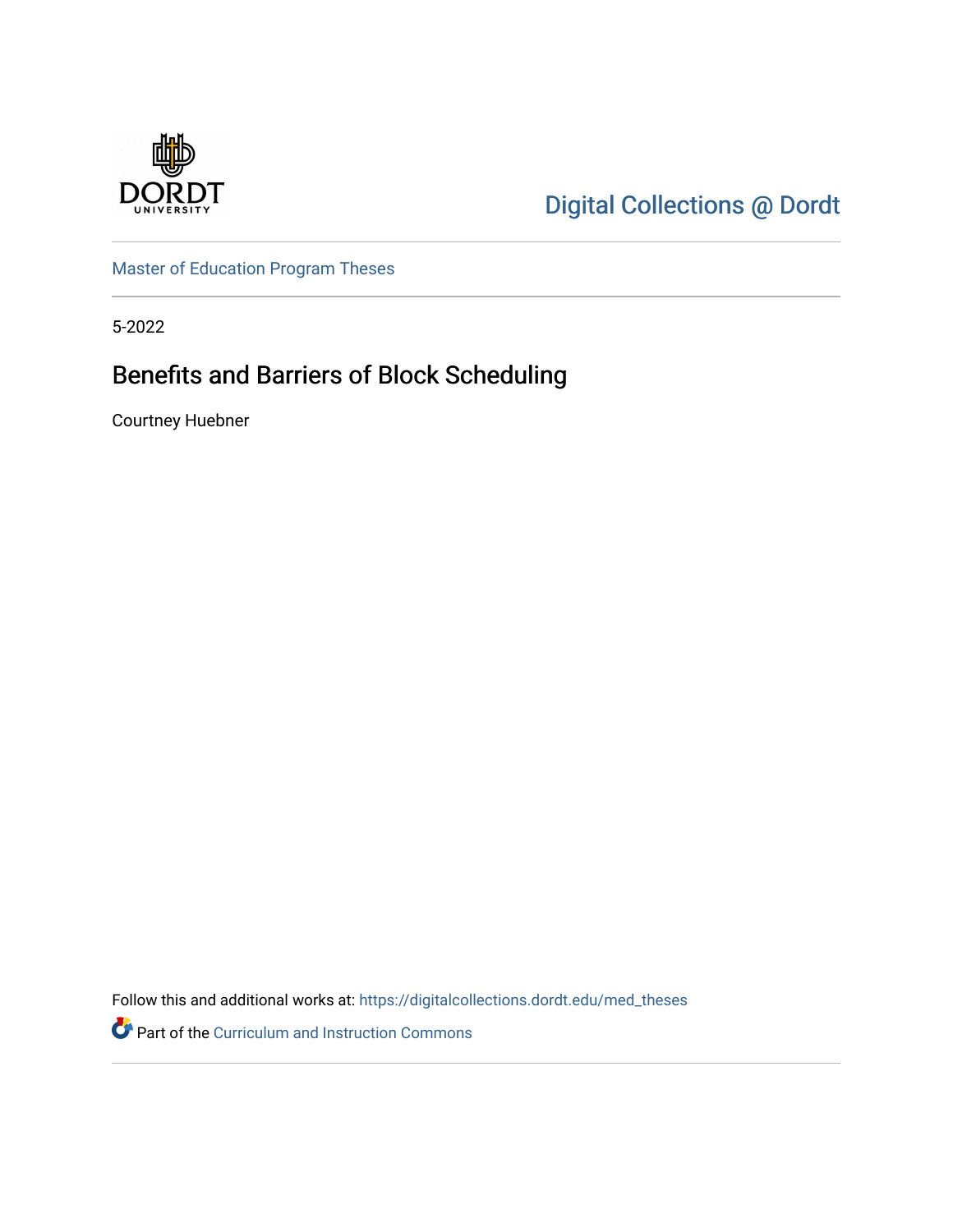

[Digital Collections @ Dordt](https://digitalcollections.dordt.edu/) 

[Master of Education Program Theses](https://digitalcollections.dordt.edu/med_theses) 

5-2022

# Benefits and Barriers of Block Scheduling

Courtney Huebner

Follow this and additional works at: [https://digitalcollections.dordt.edu/med\\_theses](https://digitalcollections.dordt.edu/med_theses?utm_source=digitalcollections.dordt.edu%2Fmed_theses%2F159&utm_medium=PDF&utm_campaign=PDFCoverPages)

Part of the [Curriculum and Instruction Commons](http://network.bepress.com/hgg/discipline/786?utm_source=digitalcollections.dordt.edu%2Fmed_theses%2F159&utm_medium=PDF&utm_campaign=PDFCoverPages)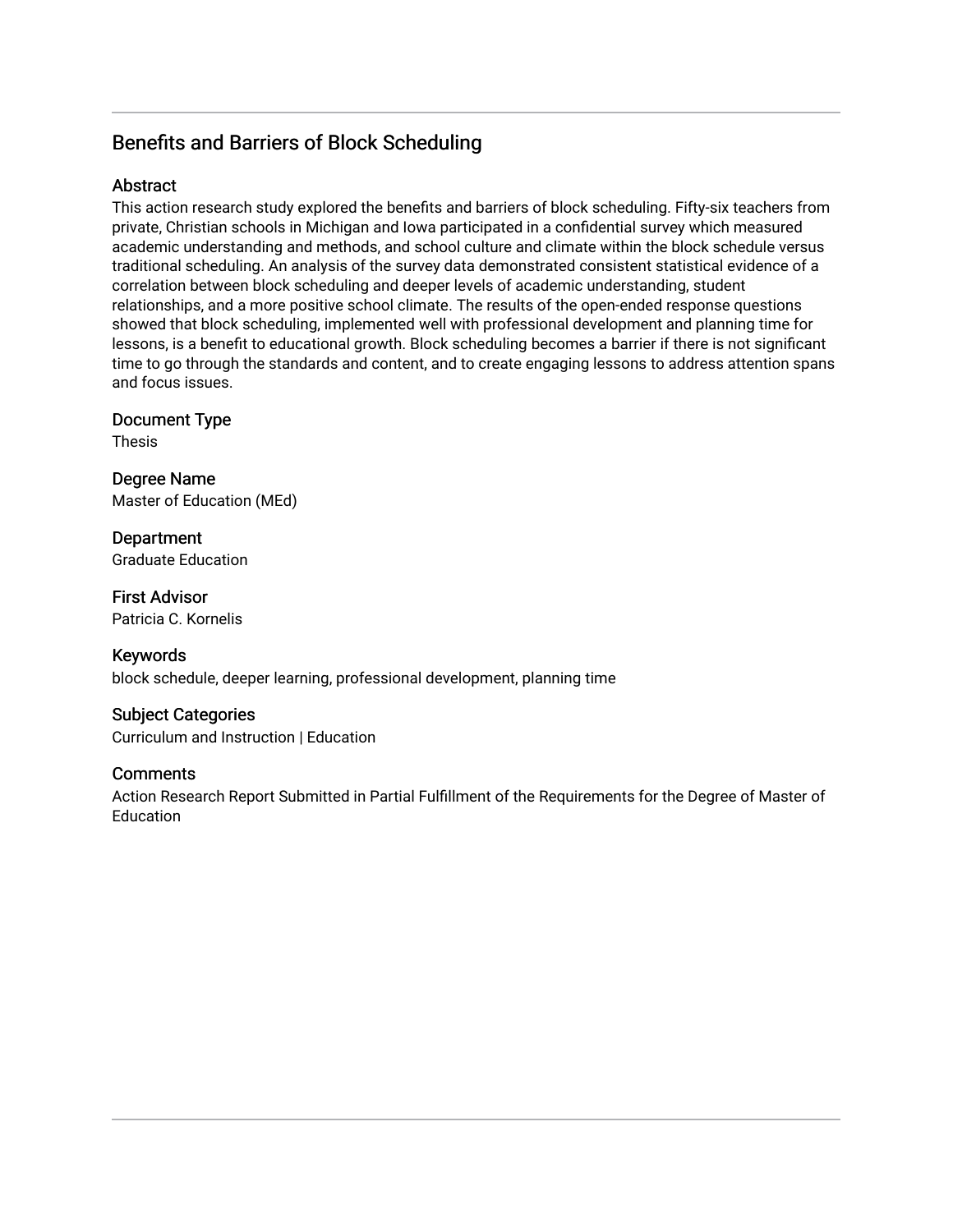# Benefits and Barriers of Block Scheduling

# Abstract

This action research study explored the benefits and barriers of block scheduling. Fifty-six teachers from private, Christian schools in Michigan and Iowa participated in a confidential survey which measured academic understanding and methods, and school culture and climate within the block schedule versus traditional scheduling. An analysis of the survey data demonstrated consistent statistical evidence of a correlation between block scheduling and deeper levels of academic understanding, student relationships, and a more positive school climate. The results of the open-ended response questions showed that block scheduling, implemented well with professional development and planning time for lessons, is a benefit to educational growth. Block scheduling becomes a barrier if there is not significant time to go through the standards and content, and to create engaging lessons to address attention spans and focus issues.

# Document Type

Thesis

Degree Name Master of Education (MEd)

**Department** Graduate Education

First Advisor Patricia C. Kornelis

Keywords block schedule, deeper learning, professional development, planning time

# Subject Categories

Curriculum and Instruction | Education

# **Comments**

Action Research Report Submitted in Partial Fulfillment of the Requirements for the Degree of Master of **Education**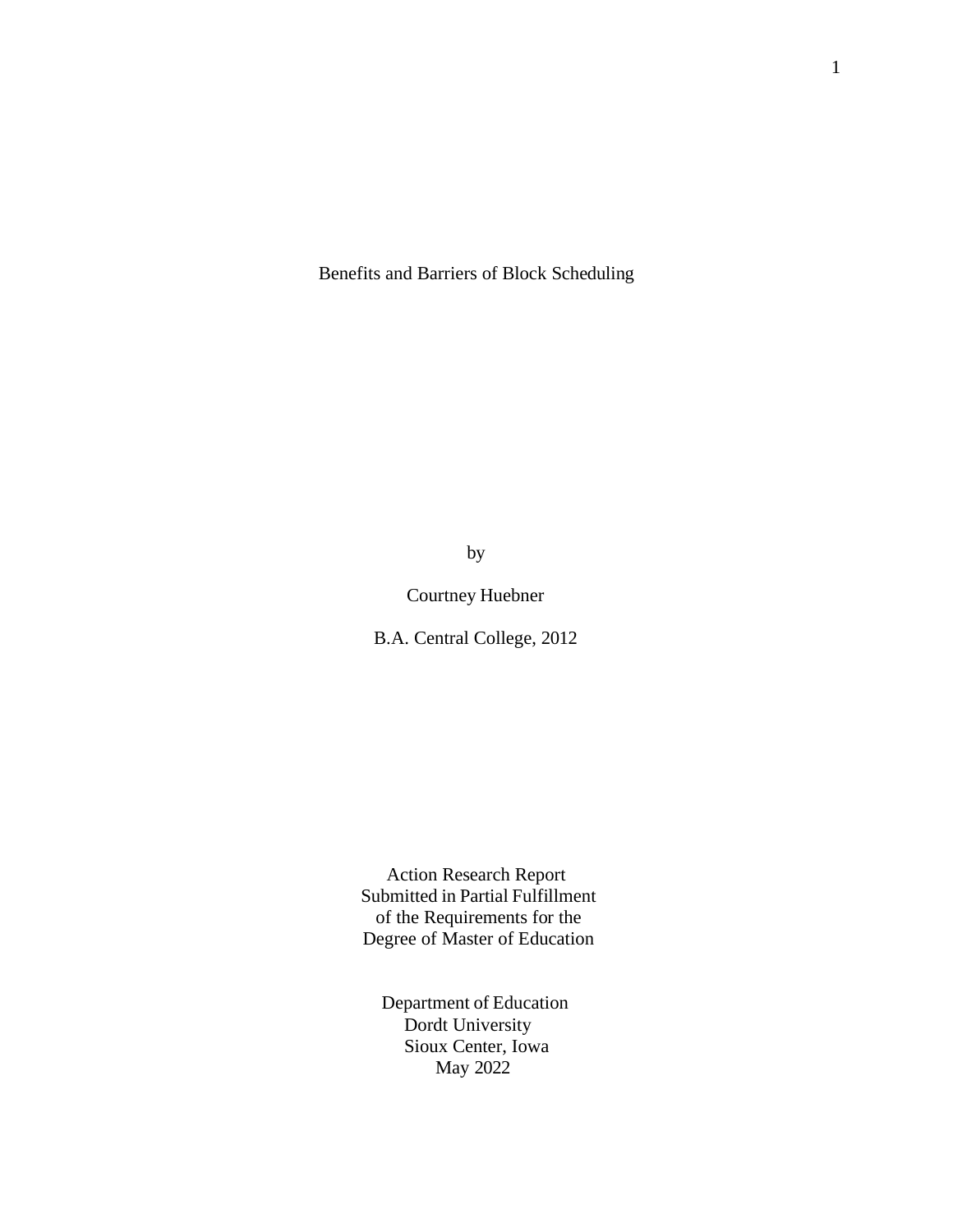Benefits and Barriers of Block Scheduling

by

Courtney Huebner

B.A. Central College, 2012

Action Research Report Submitted in Partial Fulfillment of the Requirements for the Degree of Master of Education

Department of Education Dordt University Sioux Center, Iowa May 2022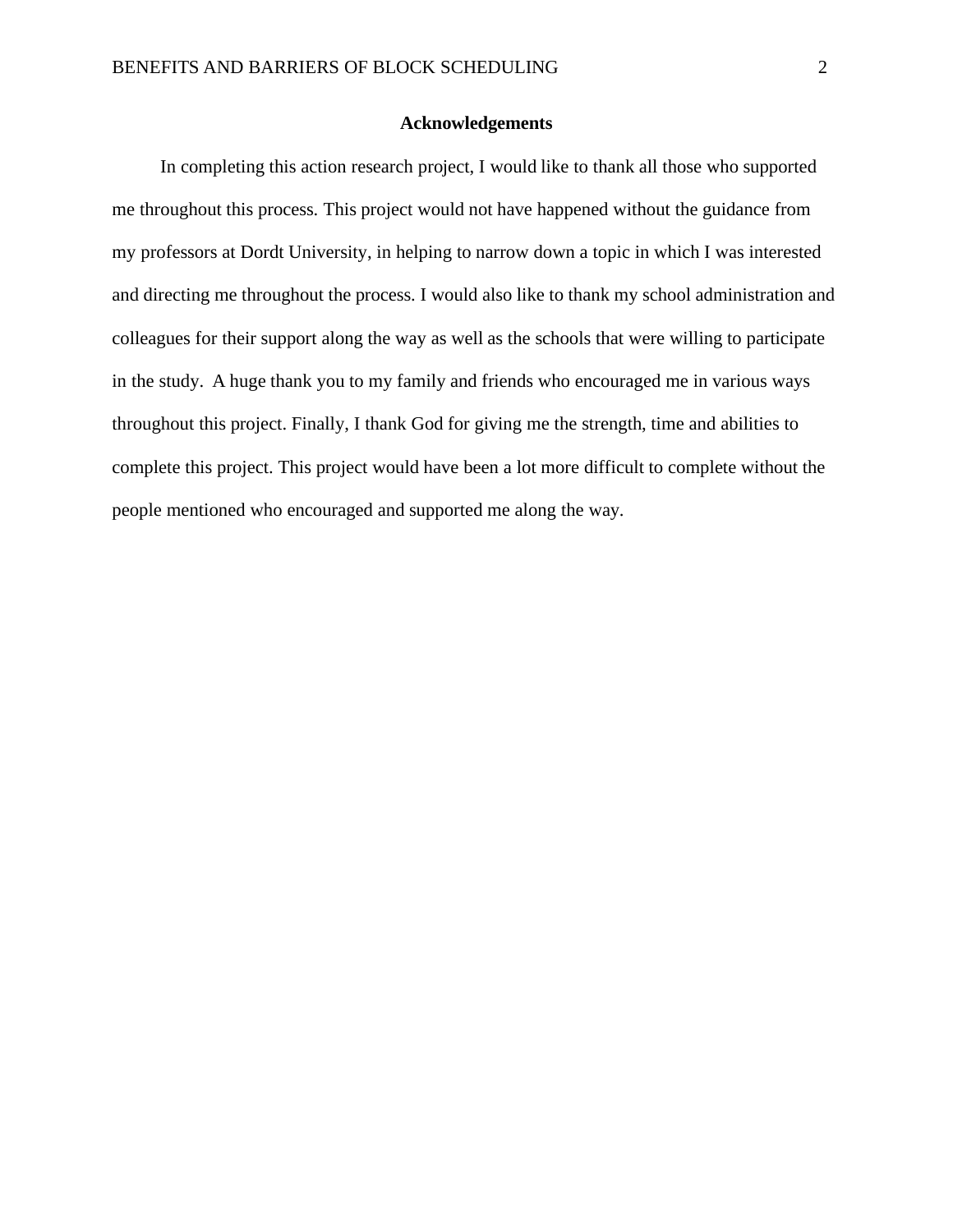#### **Acknowledgements**

<span id="page-3-0"></span>In completing this action research project, I would like to thank all those who supported me throughout this process. This project would not have happened without the guidance from my professors at Dordt University, in helping to narrow down a topic in which I was interested and directing me throughout the process. I would also like to thank my school administration and colleagues for their support along the way as well as the schools that were willing to participate in the study. A huge thank you to my family and friends who encouraged me in various ways throughout this project. Finally, I thank God for giving me the strength, time and abilities to complete this project. This project would have been a lot more difficult to complete without the people mentioned who encouraged and supported me along the way.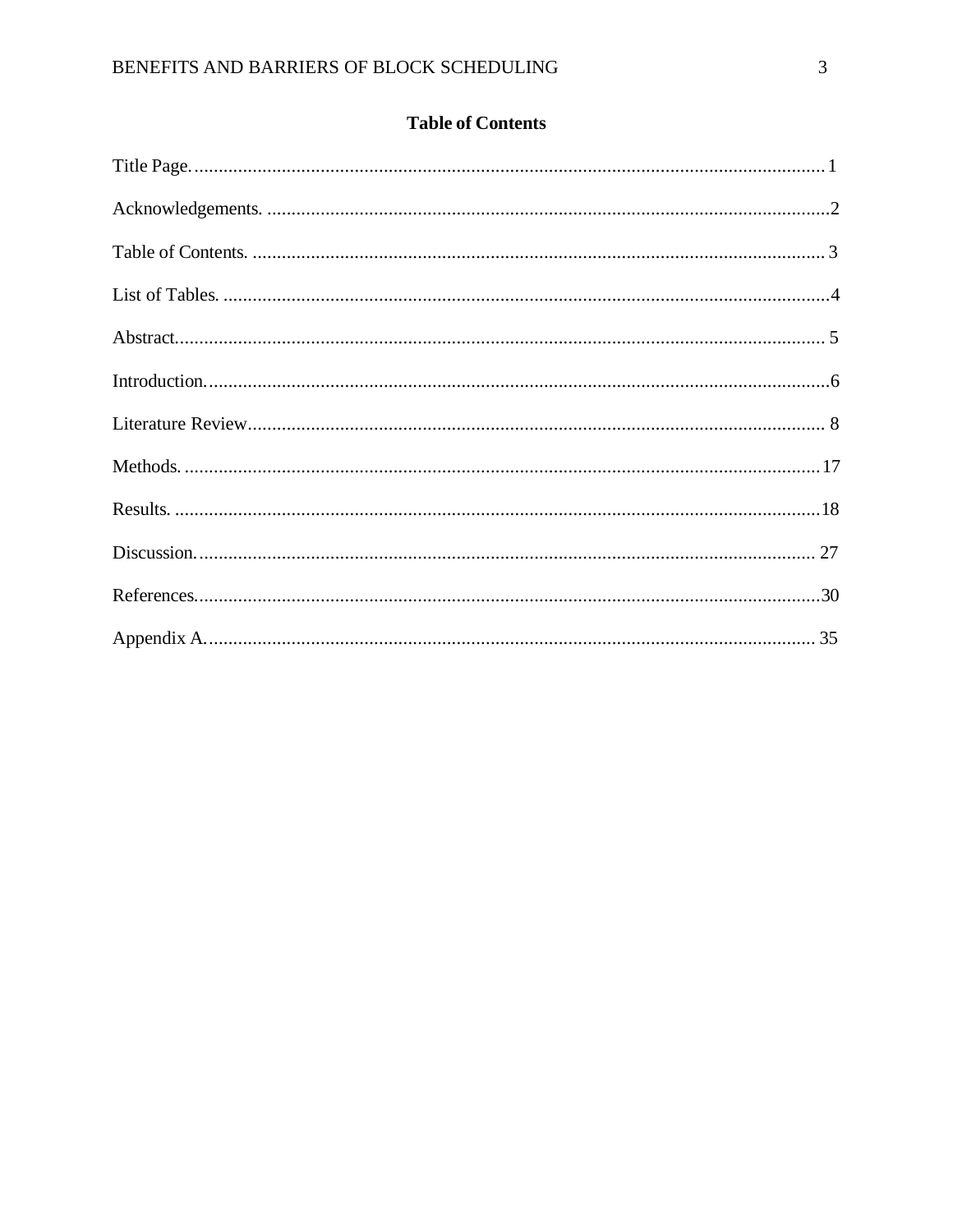|  | <b>Table of Contents</b> |
|--|--------------------------|
|  |                          |

<span id="page-4-0"></span>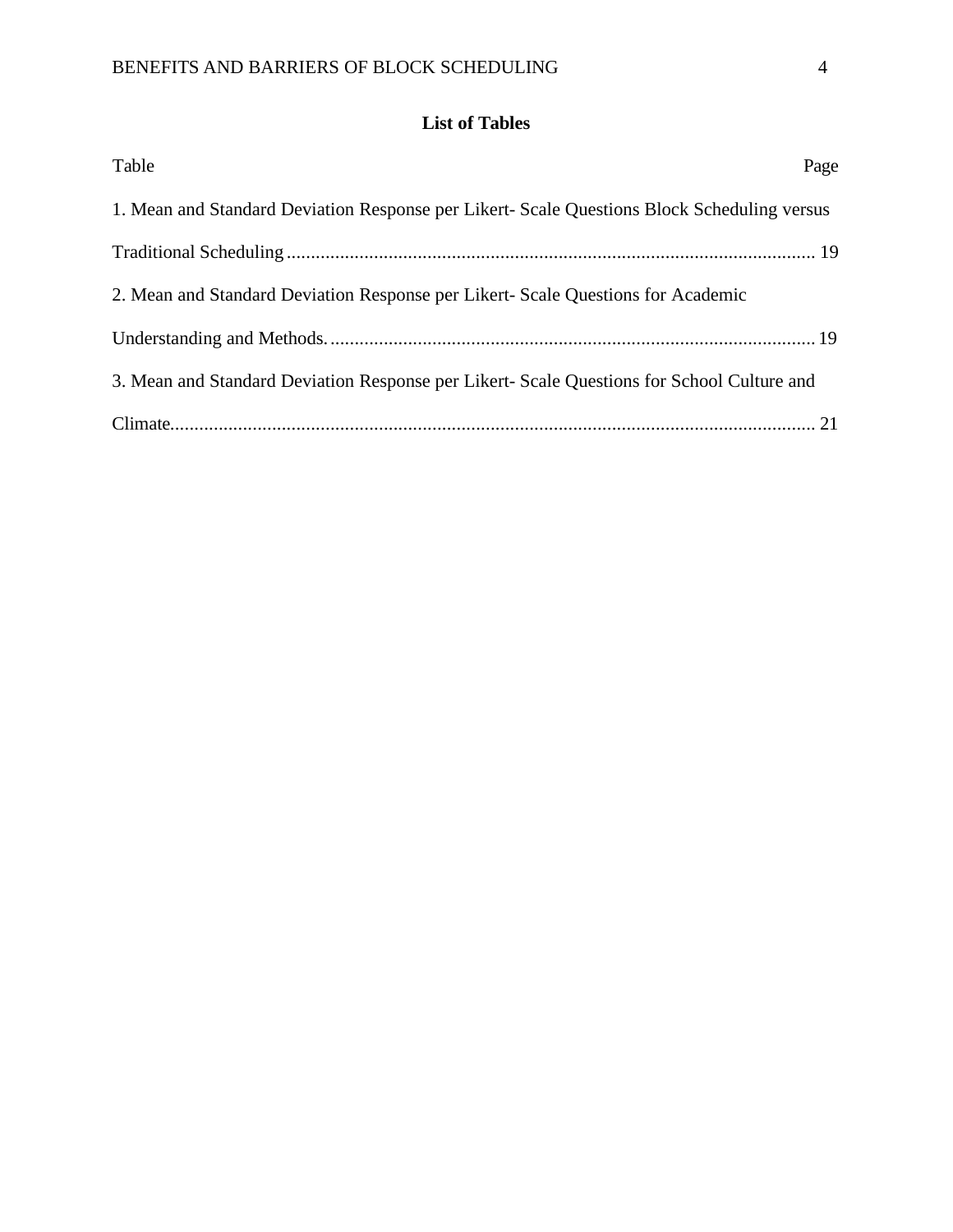# **List of Tables**

<span id="page-5-0"></span>

| Table                                                                                       | Page |
|---------------------------------------------------------------------------------------------|------|
| 1. Mean and Standard Deviation Response per Likert- Scale Questions Block Scheduling versus |      |
|                                                                                             |      |
| 2. Mean and Standard Deviation Response per Likert- Scale Questions for Academic            |      |
|                                                                                             |      |
| 3. Mean and Standard Deviation Response per Likert- Scale Questions for School Culture and  |      |
|                                                                                             |      |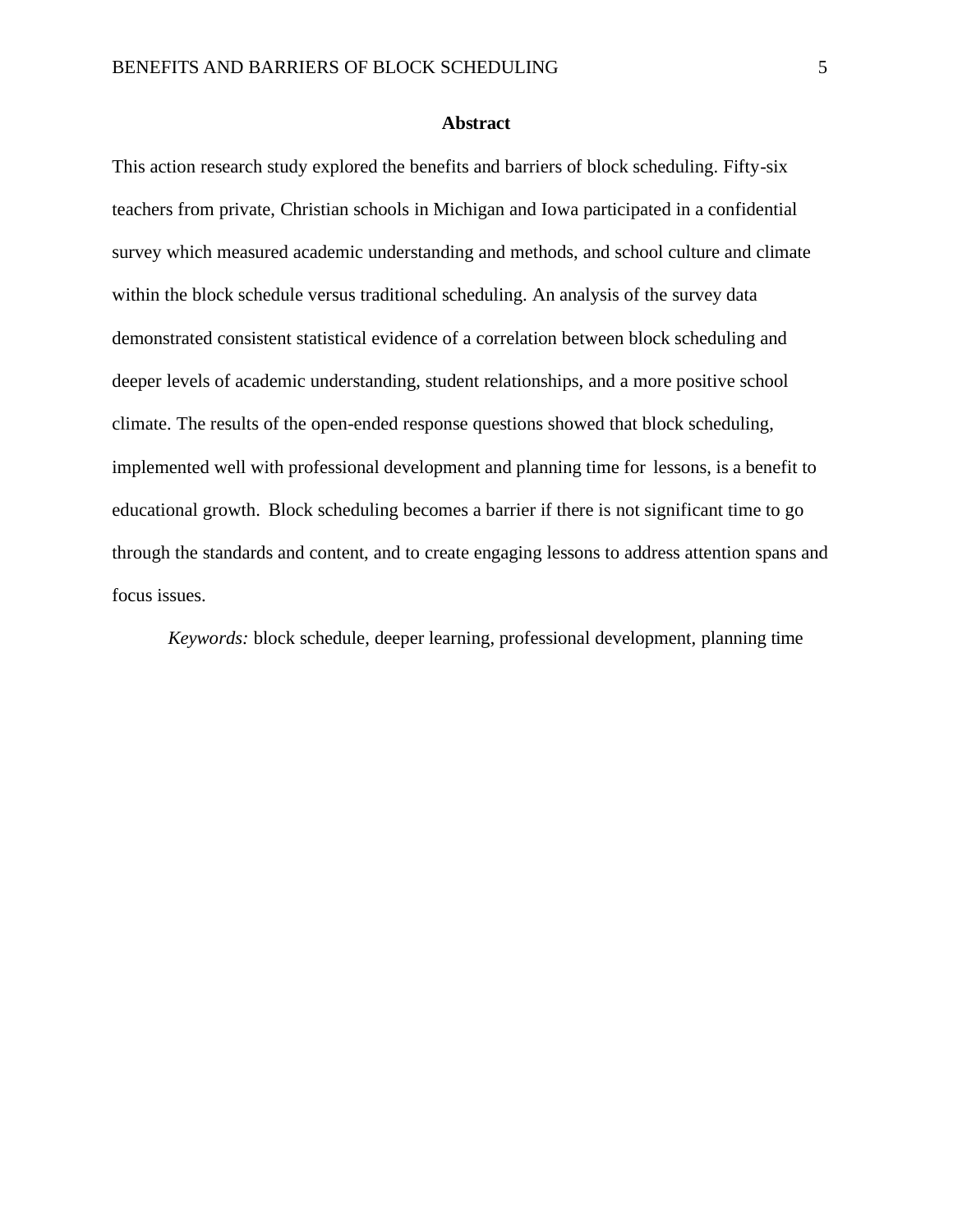#### **Abstract**

<span id="page-6-0"></span>This action research study explored the benefits and barriers of block scheduling. Fifty-six teachers from private, Christian schools in Michigan and Iowa participated in a confidential survey which measured academic understanding and methods, and school culture and climate within the block schedule versus traditional scheduling. An analysis of the survey data demonstrated consistent statistical evidence of a correlation between block scheduling and deeper levels of academic understanding, student relationships, and a more positive school climate. The results of the open-ended response questions showed that block scheduling, implemented well with professional development and planning time for lessons, is a benefit to educational growth. Block scheduling becomes a barrier if there is not significant time to go through the standards and content, and to create engaging lessons to address attention spans and focus issues.

*Keywords:* block schedule, deeper learning, professional development, planning time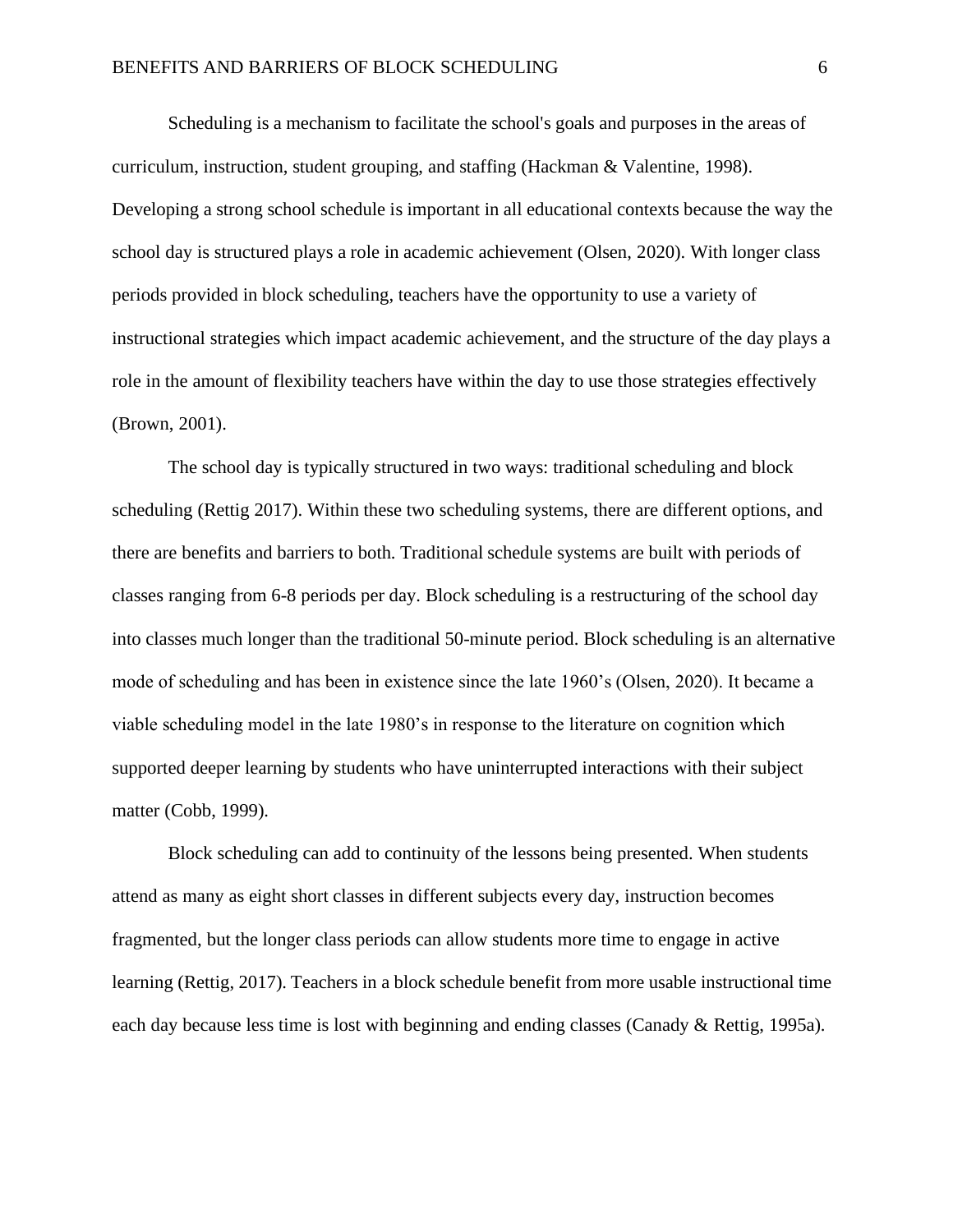Scheduling is a mechanism to facilitate the school's goals and purposes in the areas of curriculum, instruction, student grouping, and staffing (Hackman & Valentine, 1998). Developing a strong school schedule is important in all educational contexts because the way the school day is structured plays a role in academic achievement (Olsen, 2020). With longer class periods provided in block scheduling, teachers have the opportunity to use a variety of instructional strategies which impact academic achievement, and the structure of the day plays a role in the amount of flexibility teachers have within the day to use those strategies effectively (Brown, 2001).

The school day is typically structured in two ways: traditional scheduling and block scheduling (Rettig 2017). Within these two scheduling systems, there are different options, and there are benefits and barriers to both. Traditional schedule systems are built with periods of classes ranging from 6-8 periods per day. Block scheduling is a restructuring of the school day into classes much longer than the traditional 50-minute period. Block scheduling is an alternative mode of scheduling and has been in existence since the late 1960's (Olsen, 2020). It became a viable scheduling model in the late 1980's in response to the literature on cognition which supported deeper learning by students who have uninterrupted interactions with their subject matter (Cobb, 1999).

Block scheduling can add to continuity of the lessons being presented. When students attend as many as eight short classes in different subjects every day, instruction becomes fragmented, but the longer class periods can allow students more time to engage in active learning (Rettig, 2017). Teachers in a block schedule benefit from more usable instructional time each day because less time is lost with beginning and ending classes (Canady & Rettig, 1995a).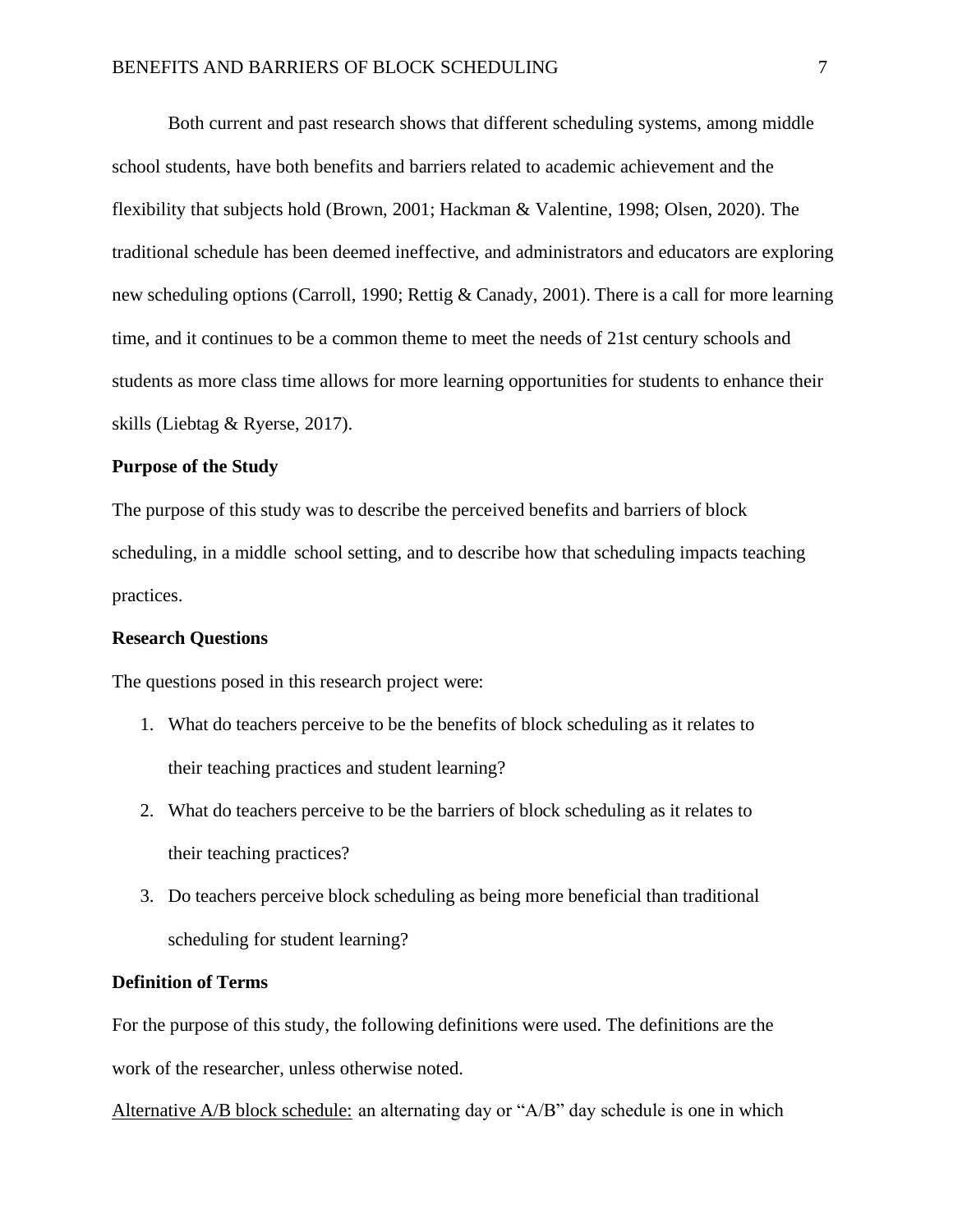Both current and past research shows that different scheduling systems, among middle school students, have both benefits and barriers related to academic achievement and the flexibility that subjects hold (Brown, 2001; Hackman & Valentine, 1998; Olsen, 2020). The traditional schedule has been deemed ineffective, and administrators and educators are exploring new scheduling options (Carroll, 1990; Rettig & Canady, 2001). There is a call for more learning time, and it continues to be a common theme to meet the needs of 21st century schools and students as more class time allows for more learning opportunities for students to enhance their skills (Liebtag & Ryerse, 2017).

#### **Purpose of the Study**

The purpose of this study was to describe the perceived benefits and barriers of block scheduling, in a middle school setting, and to describe how that scheduling impacts teaching practices.

#### **Research Questions**

The questions posed in this research project were:

- 1. What do teachers perceive to be the benefits of block scheduling as it relates to their teaching practices and student learning?
- 2. What do teachers perceive to be the barriers of block scheduling as it relates to their teaching practices?
- 3. Do teachers perceive block scheduling as being more beneficial than traditional scheduling for student learning?

#### **Definition of Terms**

For the purpose of this study, the following definitions were used. The definitions are the work of the researcher, unless otherwise noted.

Alternative A/B block schedule: an alternating day or "A/B" day schedule is one in which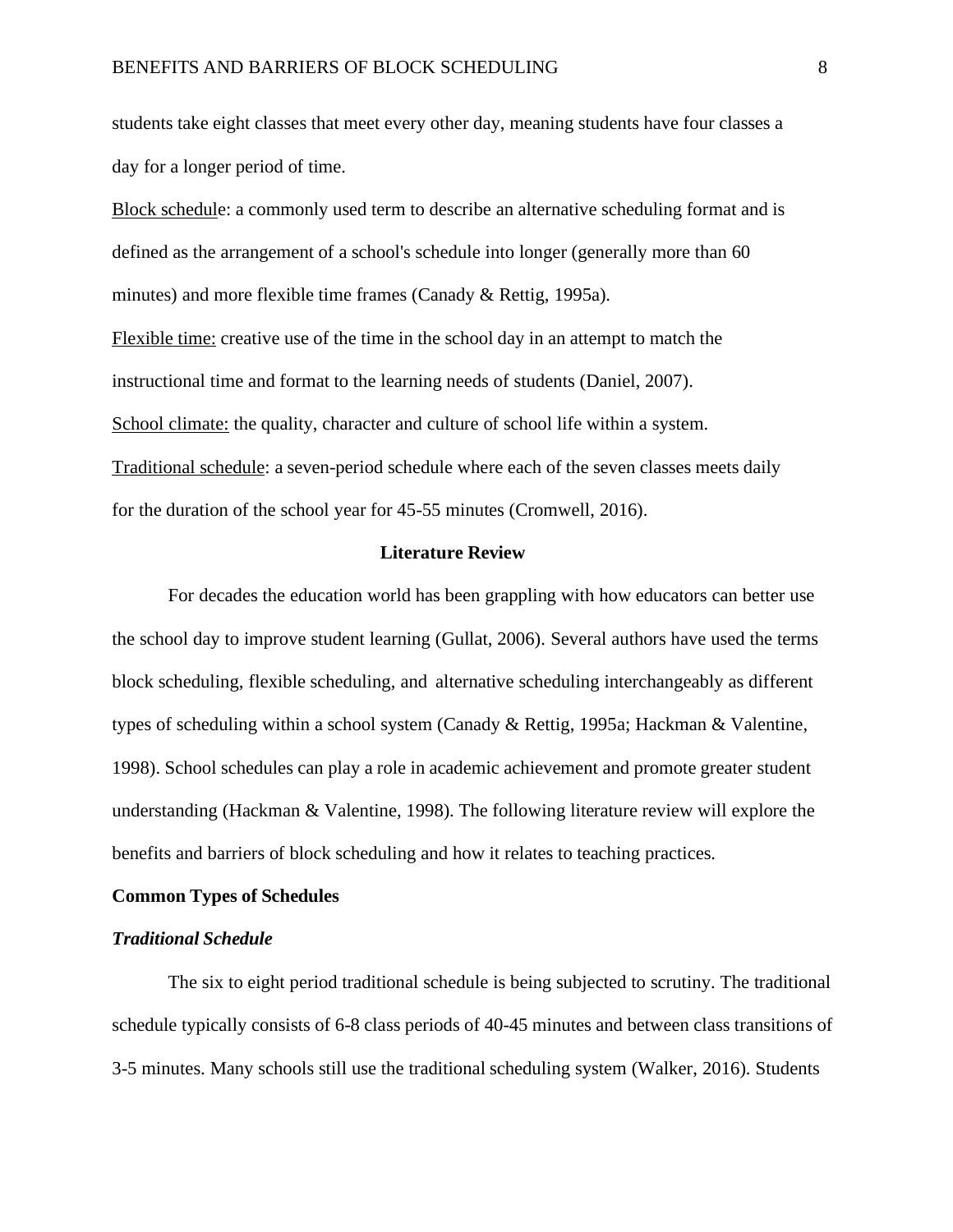students take eight classes that meet every other day, meaning students have four classes a day for a longer period of time.

Block schedule: a commonly used term to describe an alternative scheduling format and is defined as the arrangement of a school's schedule into longer (generally more than 60 minutes) and more flexible time frames (Canady & Rettig, 1995a). Flexible time: creative use of the time in the school day in an attempt to match the instructional time and format to the learning needs of students (Daniel, 2007). School climate: the quality, character and culture of school life within a system. Traditional schedule: a seven-period schedule where each of the seven classes meets daily for the duration of the school year for 45-55 minutes (Cromwell, 2016).

#### **Literature Review**

<span id="page-9-0"></span>For decades the education world has been grappling with how educators can better use the school day to improve student learning (Gullat, 2006). Several authors have used the terms block scheduling, flexible scheduling, and alternative scheduling interchangeably as different types of scheduling within a school system (Canady & Rettig, 1995a; Hackman & Valentine, 1998). School schedules can play a role in academic achievement and promote greater student understanding (Hackman & Valentine, 1998). The following literature review will explore the benefits and barriers of block scheduling and how it relates to teaching practices.

#### **Common Types of Schedules**

#### *Traditional Schedule*

The six to eight period traditional schedule is being subjected to scrutiny. The traditional schedule typically consists of 6-8 class periods of 40-45 minutes and between class transitions of 3-5 minutes. Many schools still use the traditional scheduling system (Walker, 2016). Students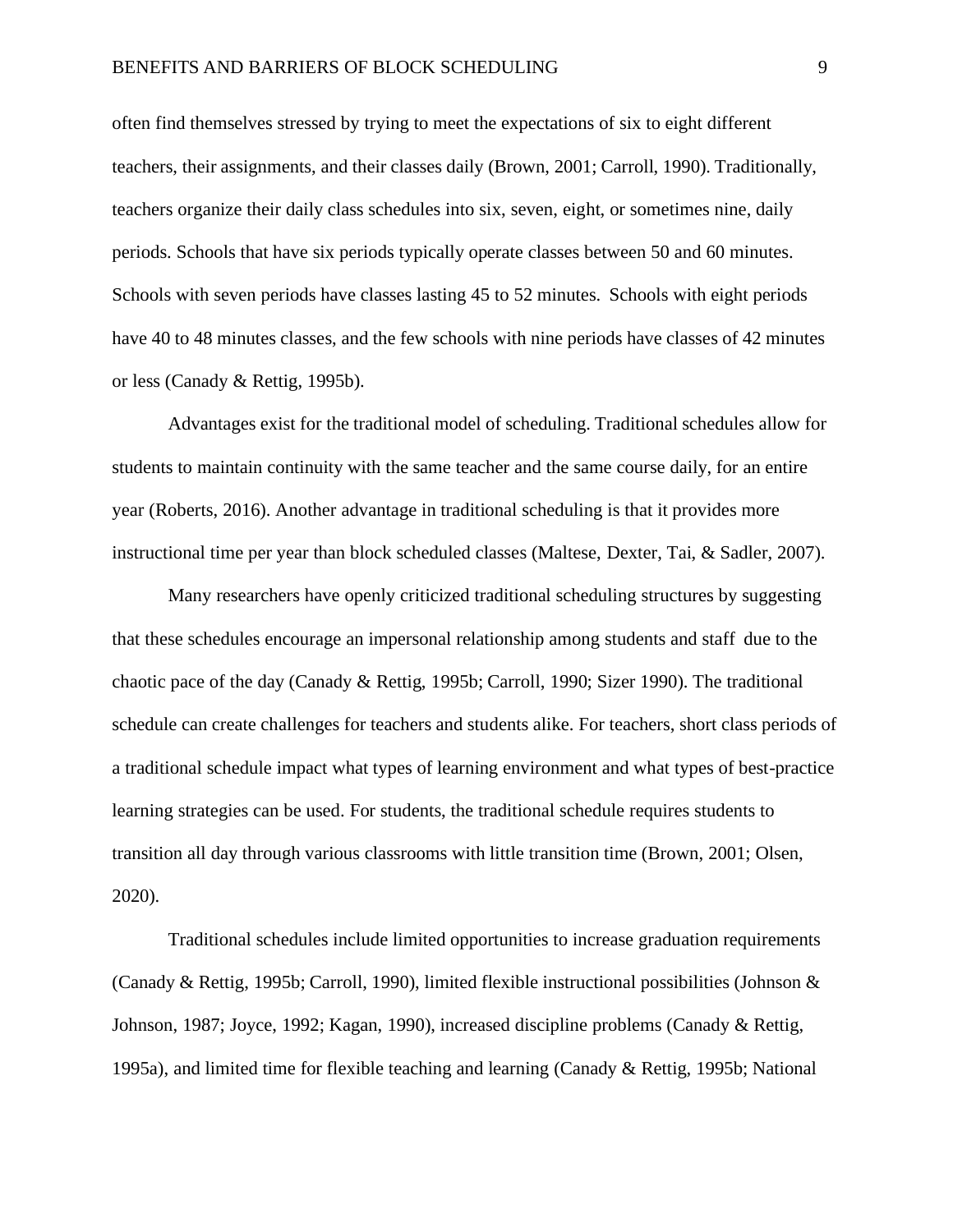often find themselves stressed by trying to meet the expectations of six to eight different teachers, their assignments, and their classes daily (Brown, 2001; Carroll, 1990). Traditionally, teachers organize their daily class schedules into six, seven, eight, or sometimes nine, daily periods. Schools that have six periods typically operate classes between 50 and 60 minutes. Schools with seven periods have classes lasting 45 to 52 minutes. Schools with eight periods have 40 to 48 minutes classes, and the few schools with nine periods have classes of 42 minutes or less (Canady & Rettig, 1995b).

Advantages exist for the traditional model of scheduling. Traditional schedules allow for students to maintain continuity with the same teacher and the same course daily, for an entire year (Roberts, 2016). Another advantage in traditional scheduling is that it provides more instructional time per year than block scheduled classes (Maltese, Dexter, Tai, & Sadler, 2007).

Many researchers have openly criticized traditional scheduling structures by suggesting that these schedules encourage an impersonal relationship among students and staff due to the chaotic pace of the day (Canady & Rettig, 1995b; Carroll, 1990; Sizer 1990). The traditional schedule can create challenges for teachers and students alike. For teachers, short class periods of a traditional schedule impact what types of learning environment and what types of best-practice learning strategies can be used. For students, the traditional schedule requires students to transition all day through various classrooms with little transition time (Brown, 2001; Olsen, 2020).

Traditional schedules include limited opportunities to increase graduation requirements (Canady & Rettig, 1995b; Carroll, 1990), limited flexible instructional possibilities (Johnson & Johnson, 1987; Joyce, 1992; Kagan, 1990), increased discipline problems (Canady & Rettig, 1995a), and limited time for flexible teaching and learning (Canady & Rettig, 1995b; National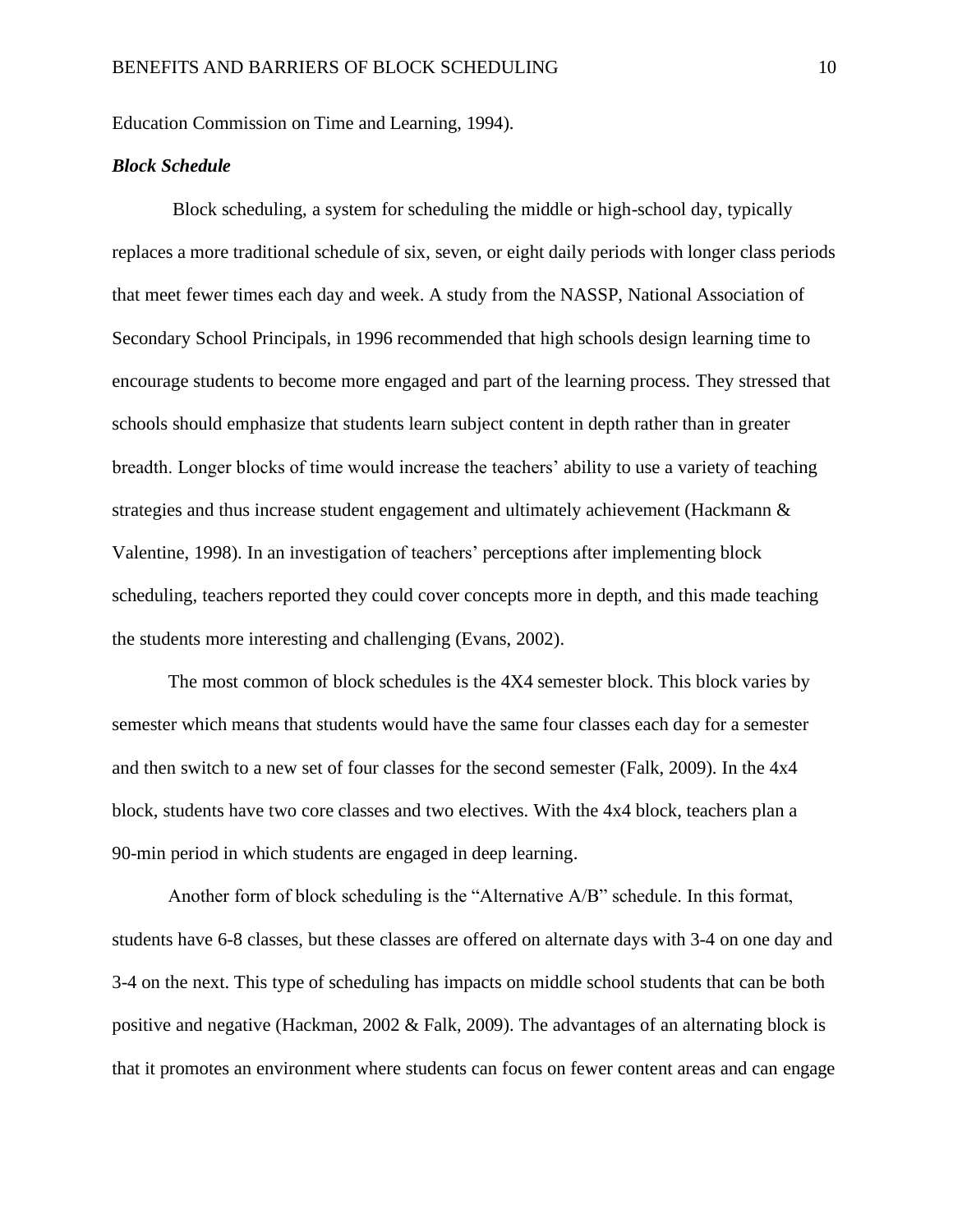Education Commission on Time and Learning, 1994).

#### *Block Schedule*

Block scheduling, a system for scheduling the middle or high-school day, typically replaces a more traditional schedule of six, seven, or eight daily periods with longer class periods that meet fewer times each day and week. A study from the NASSP, National Association of Secondary School Principals, in 1996 recommended that high schools design learning time to encourage students to become more engaged and part of the learning process. They stressed that schools should emphasize that students learn subject content in depth rather than in greater breadth. Longer blocks of time would increase the teachers' ability to use a variety of teaching strategies and thus increase student engagement and ultimately achievement (Hackmann & Valentine, 1998). In an investigation of teachers' perceptions after implementing block scheduling, teachers reported they could cover concepts more in depth, and this made teaching the students more interesting and challenging (Evans, 2002).

The most common of block schedules is the 4X4 semester block. This block varies by semester which means that students would have the same four classes each day for a semester and then switch to a new set of four classes for the second semester (Falk, 2009). In the 4x4 block, students have two core classes and two electives. With the 4x4 block, teachers plan a 90-min period in which students are engaged in deep learning.

Another form of block scheduling is the "Alternative A/B" schedule. In this format, students have 6-8 classes, but these classes are offered on alternate days with 3-4 on one day and 3-4 on the next. This type of scheduling has impacts on middle school students that can be both positive and negative (Hackman, 2002 & Falk, 2009). The advantages of an alternating block is that it promotes an environment where students can focus on fewer content areas and can engage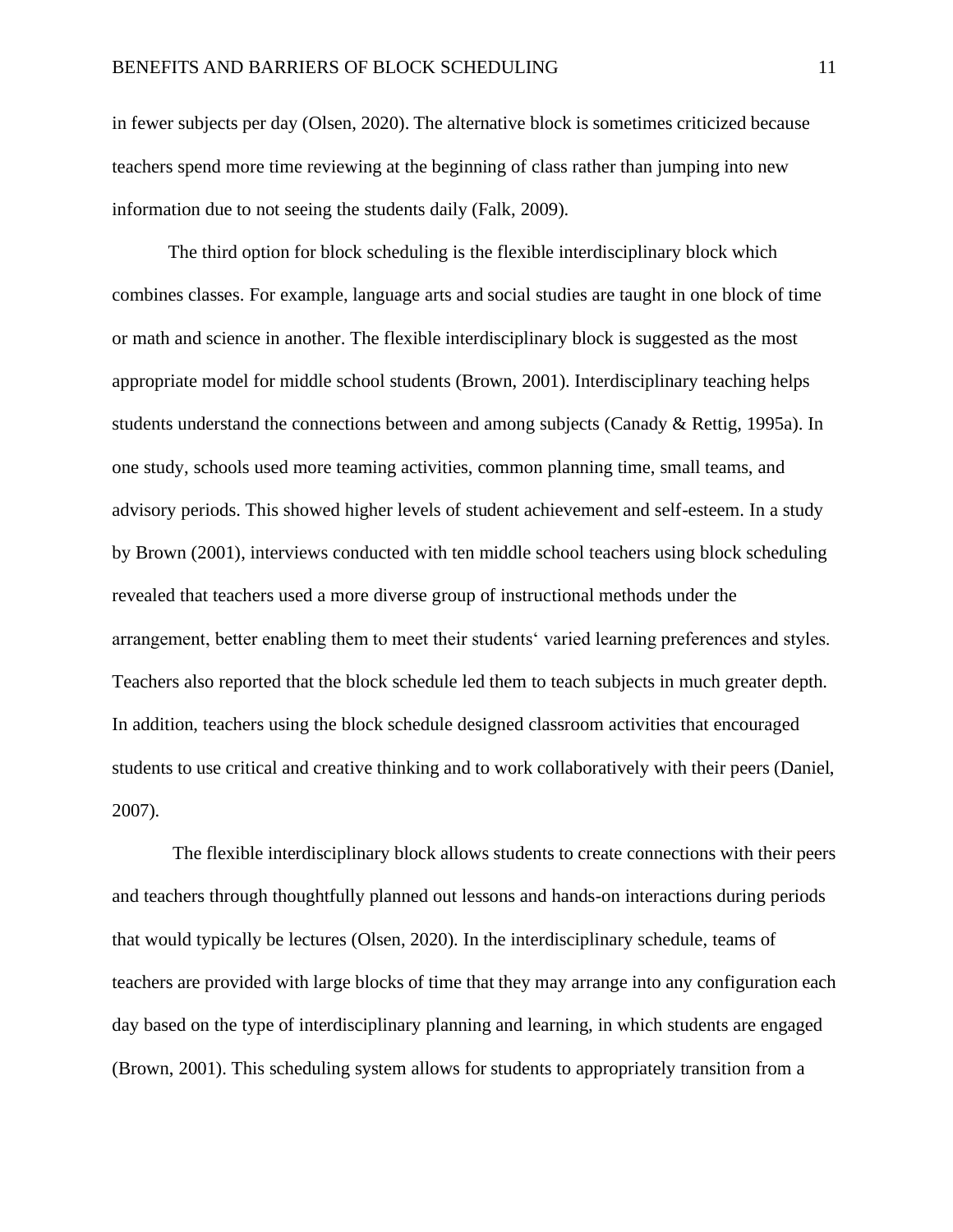in fewer subjects per day (Olsen, 2020). The alternative block is sometimes criticized because teachers spend more time reviewing at the beginning of class rather than jumping into new information due to not seeing the students daily (Falk, 2009).

The third option for block scheduling is the flexible interdisciplinary block which combines classes. For example, language arts and social studies are taught in one block of time or math and science in another. The flexible interdisciplinary block is suggested as the most appropriate model for middle school students (Brown, 2001). Interdisciplinary teaching helps students understand the connections between and among subjects (Canady & Rettig, 1995a). In one study, schools used more teaming activities, common planning time, small teams, and advisory periods. This showed higher levels of student achievement and self-esteem. In a study by Brown (2001), interviews conducted with ten middle school teachers using block scheduling revealed that teachers used a more diverse group of instructional methods under the arrangement, better enabling them to meet their students' varied learning preferences and styles. Teachers also reported that the block schedule led them to teach subjects in much greater depth. In addition, teachers using the block schedule designed classroom activities that encouraged students to use critical and creative thinking and to work collaboratively with their peers (Daniel, 2007).

The flexible interdisciplinary block allows students to create connections with their peers and teachers through thoughtfully planned out lessons and hands-on interactions during periods that would typically be lectures (Olsen, 2020). In the interdisciplinary schedule, teams of teachers are provided with large blocks of time that they may arrange into any configuration each day based on the type of interdisciplinary planning and learning, in which students are engaged (Brown, 2001). This scheduling system allows for students to appropriately transition from a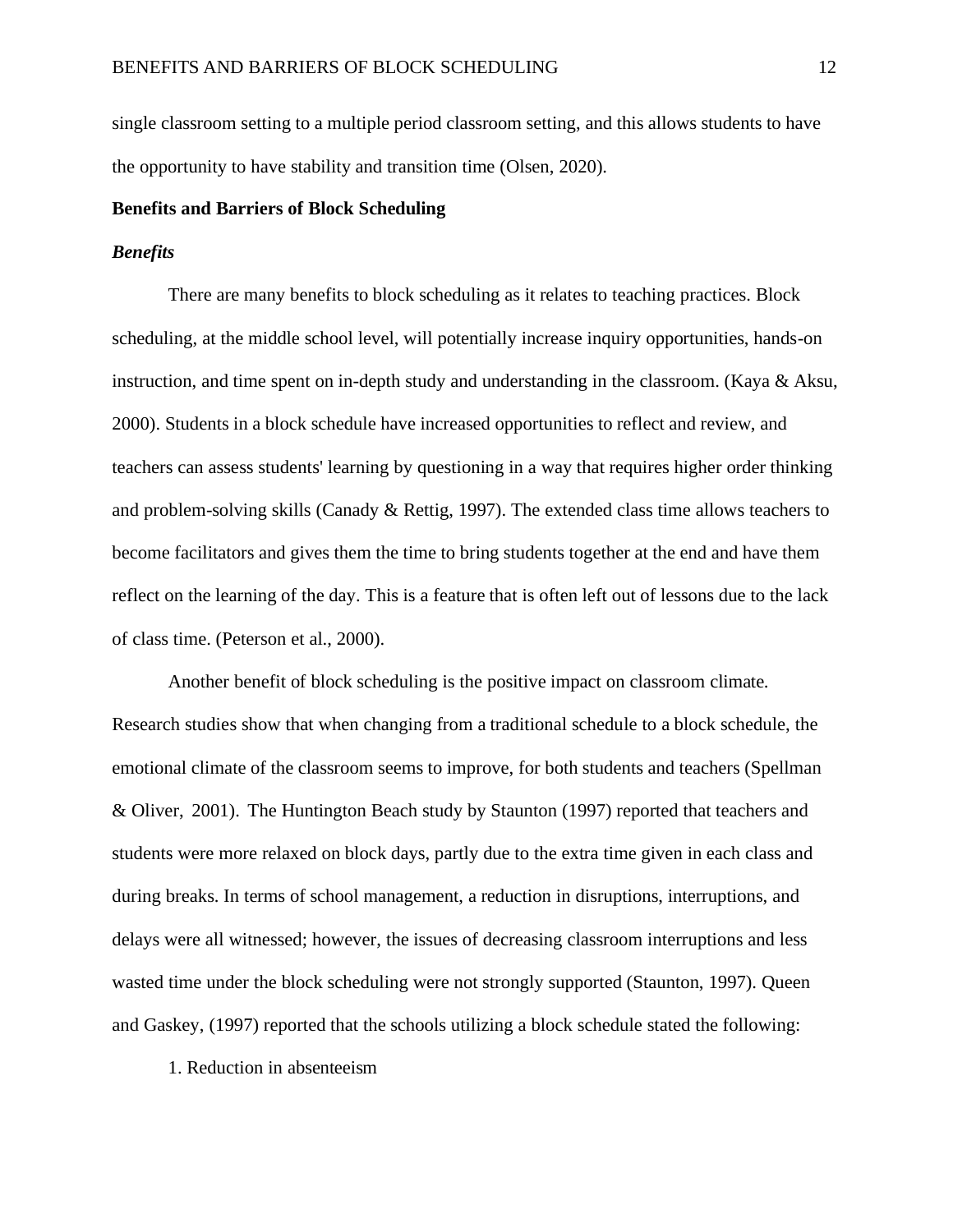single classroom setting to a multiple period classroom setting, and this allows students to have the opportunity to have stability and transition time (Olsen, 2020).

## **Benefits and Barriers of Block Scheduling**

#### *Benefits*

There are many benefits to block scheduling as it relates to teaching practices. Block scheduling, at the middle school level, will potentially increase inquiry opportunities, hands-on instruction, and time spent on in-depth study and understanding in the classroom. (Kaya & Aksu, 2000). Students in a block schedule have increased opportunities to reflect and review, and teachers can assess students' learning by questioning in a way that requires higher order thinking and problem-solving skills (Canady & Rettig, 1997). The extended class time allows teachers to become facilitators and gives them the time to bring students together at the end and have them reflect on the learning of the day. This is a feature that is often left out of lessons due to the lack of class time. (Peterson et al., 2000).

Another benefit of block scheduling is the positive impact on classroom climate. Research studies show that when changing from a traditional schedule to a block schedule, the emotional climate of the classroom seems to improve, for both students and teachers (Spellman & Oliver, 2001). The Huntington Beach study by Staunton (1997) reported that teachers and students were more relaxed on block days, partly due to the extra time given in each class and during breaks. In terms of school management, a reduction in disruptions, interruptions, and delays were all witnessed; however, the issues of decreasing classroom interruptions and less wasted time under the block scheduling were not strongly supported (Staunton, 1997). Queen and Gaskey, (1997) reported that the schools utilizing a block schedule stated the following:

1. Reduction in absenteeism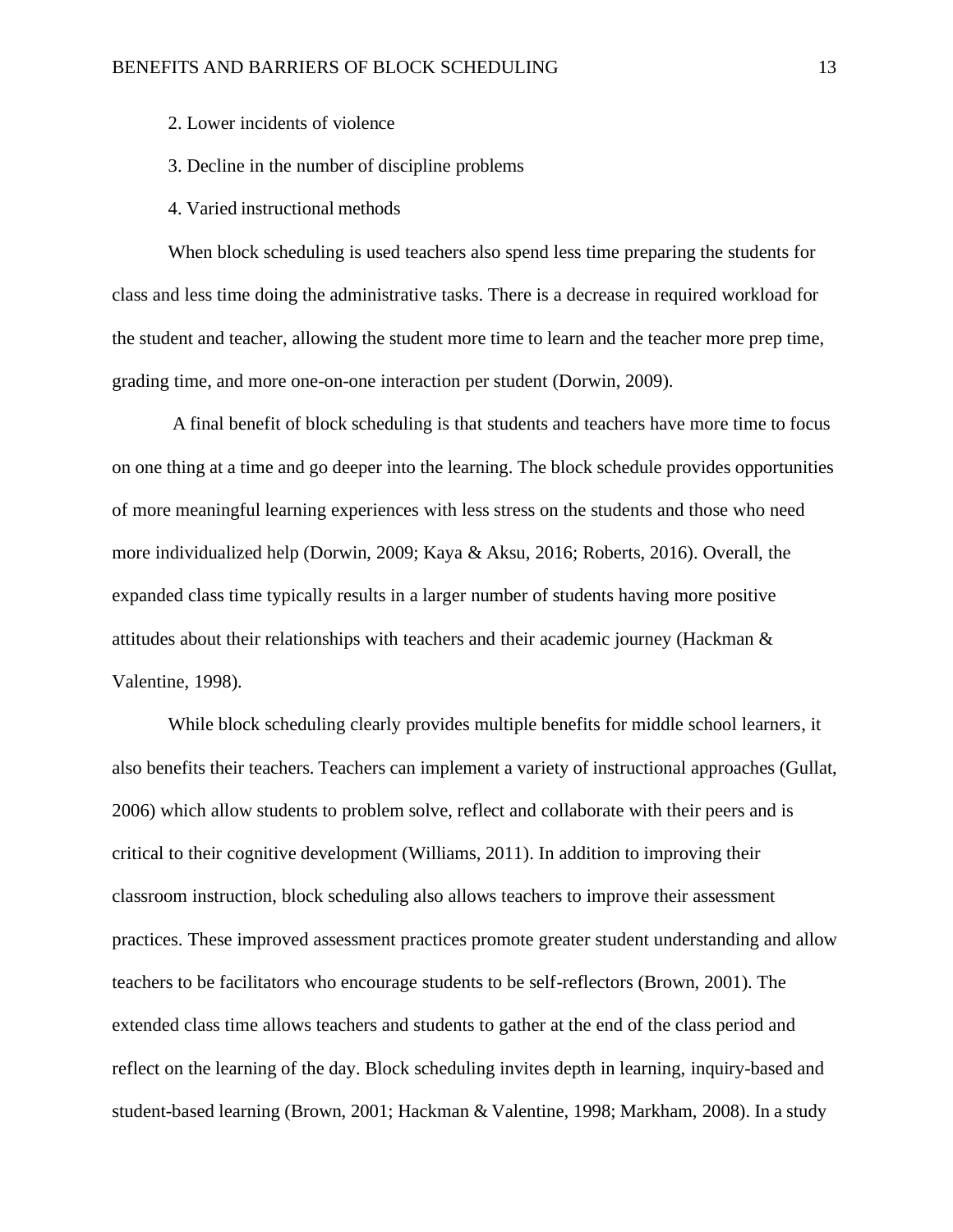2. Lower incidents of violence

- 3. Decline in the number of discipline problems
- 4. Varied instructional methods

When block scheduling is used teachers also spend less time preparing the students for class and less time doing the administrative tasks. There is a decrease in required workload for the student and teacher, allowing the student more time to learn and the teacher more prep time, grading time, and more one-on-one interaction per student (Dorwin, 2009).

A final benefit of block scheduling is that students and teachers have more time to focus on one thing at a time and go deeper into the learning. The block schedule provides opportunities of more meaningful learning experiences with less stress on the students and those who need more individualized help (Dorwin, 2009; Kaya & Aksu, 2016; Roberts, 2016). Overall, the expanded class time typically results in a larger number of students having more positive attitudes about their relationships with teachers and their academic journey (Hackman  $\&$ Valentine, 1998).

While block scheduling clearly provides multiple benefits for middle school learners, it also benefits their teachers. Teachers can implement a variety of instructional approaches (Gullat, 2006) which allow students to problem solve, reflect and collaborate with their peers and is critical to their cognitive development (Williams, 2011). In addition to improving their classroom instruction, block scheduling also allows teachers to improve their assessment practices. These improved assessment practices promote greater student understanding and allow teachers to be facilitators who encourage students to be self-reflectors (Brown, 2001). The extended class time allows teachers and students to gather at the end of the class period and reflect on the learning of the day. Block scheduling invites depth in learning, inquiry-based and student-based learning (Brown, 2001; Hackman & Valentine, 1998; Markham, 2008). In a study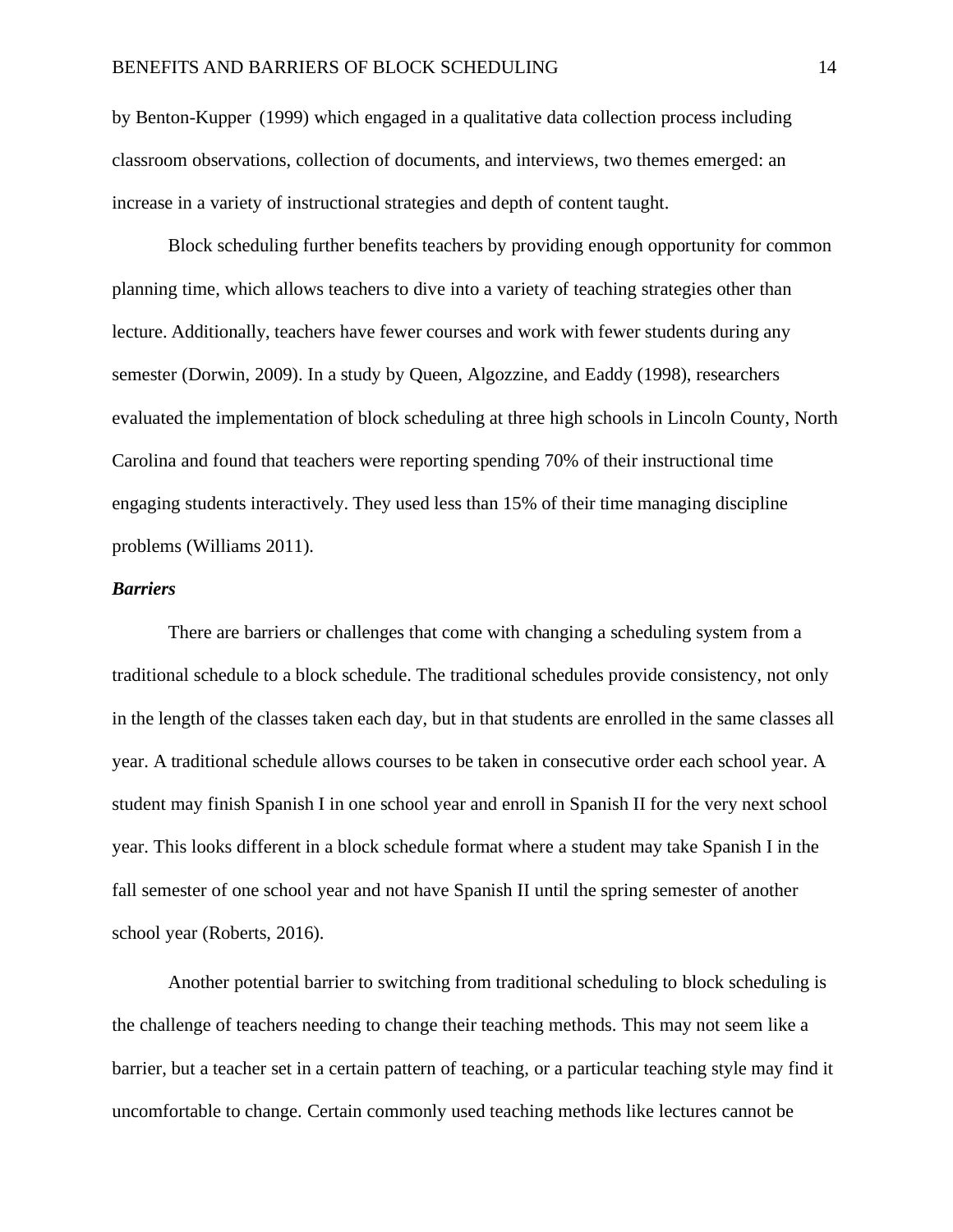by Benton-Kupper (1999) which engaged in a qualitative data collection process including classroom observations, collection of documents, and interviews, two themes emerged: an increase in a variety of instructional strategies and depth of content taught.

Block scheduling further benefits teachers by providing enough opportunity for common planning time, which allows teachers to dive into a variety of teaching strategies other than lecture. Additionally, teachers have fewer courses and work with fewer students during any semester (Dorwin, 2009). In a study by Queen, Algozzine, and Eaddy (1998), researchers evaluated the implementation of block scheduling at three high schools in Lincoln County, North Carolina and found that teachers were reporting spending 70% of their instructional time engaging students interactively. They used less than 15% of their time managing discipline problems (Williams 2011).

#### *Barriers*

There are barriers or challenges that come with changing a scheduling system from a traditional schedule to a block schedule. The traditional schedules provide consistency, not only in the length of the classes taken each day, but in that students are enrolled in the same classes all year. A traditional schedule allows courses to be taken in consecutive order each school year. A student may finish Spanish I in one school year and enroll in Spanish II for the very next school year. This looks different in a block schedule format where a student may take Spanish I in the fall semester of one school year and not have Spanish II until the spring semester of another school year (Roberts, 2016).

Another potential barrier to switching from traditional scheduling to block scheduling is the challenge of teachers needing to change their teaching methods. This may not seem like a barrier, but a teacher set in a certain pattern of teaching, or a particular teaching style may find it uncomfortable to change. Certain commonly used teaching methods like lectures cannot be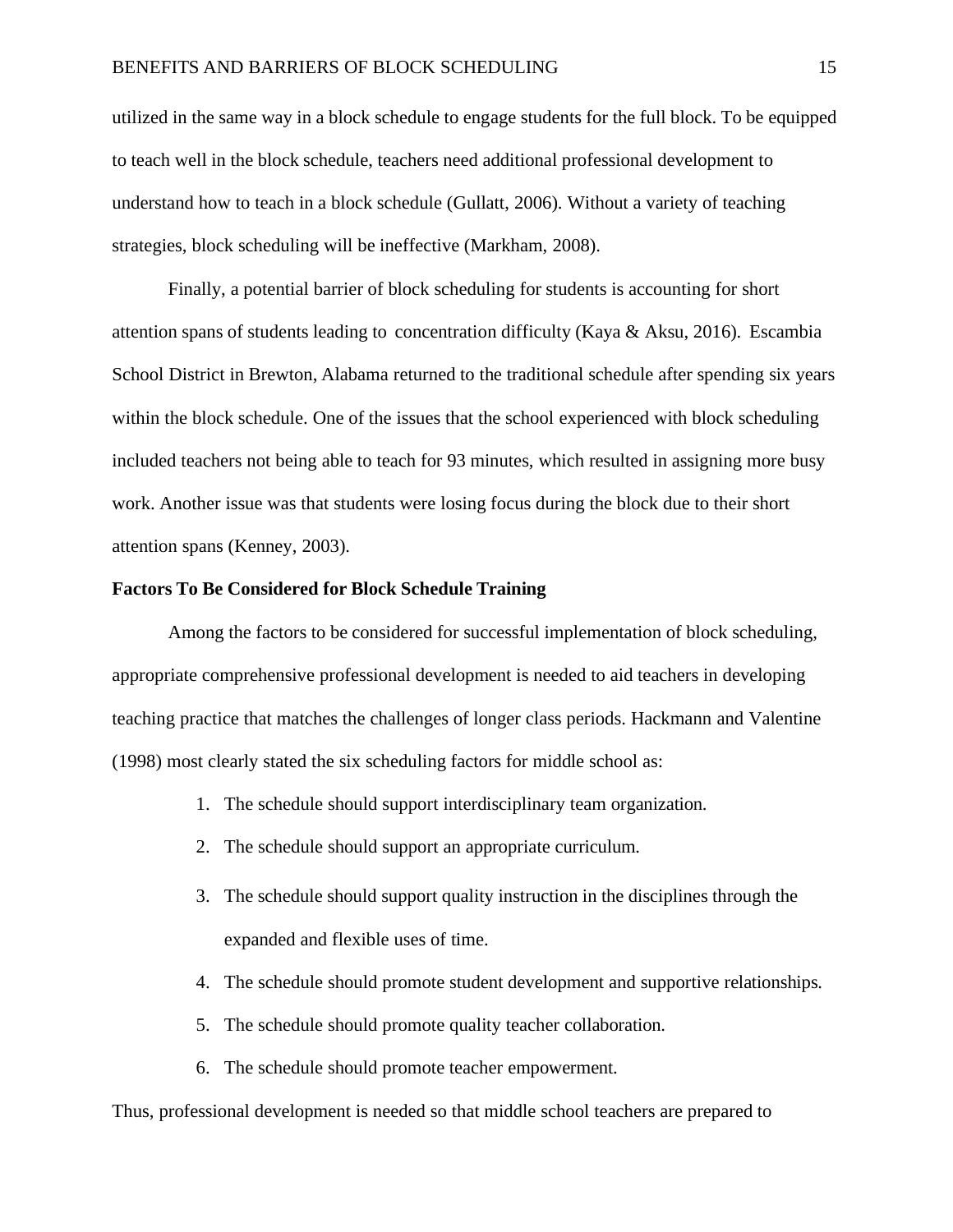utilized in the same way in a block schedule to engage students for the full block. To be equipped to teach well in the block schedule, teachers need additional professional development to understand how to teach in a block schedule (Gullatt, 2006). Without a variety of teaching strategies, block scheduling will be ineffective (Markham, 2008).

Finally, a potential barrier of block scheduling for students is accounting for short attention spans of students leading to concentration difficulty (Kaya & Aksu, 2016). Escambia School District in Brewton, Alabama returned to the traditional schedule after spending six years within the block schedule. One of the issues that the school experienced with block scheduling included teachers not being able to teach for 93 minutes, which resulted in assigning more busy work. Another issue was that students were losing focus during the block due to their short attention spans (Kenney, 2003).

#### **Factors To Be Considered for Block Schedule Training**

Among the factors to be considered for successful implementation of block scheduling, appropriate comprehensive professional development is needed to aid teachers in developing teaching practice that matches the challenges of longer class periods. Hackmann and Valentine (1998) most clearly stated the six scheduling factors for middle school as:

- 1. The schedule should support interdisciplinary team organization.
- 2. The schedule should support an appropriate curriculum.
- 3. The schedule should support quality instruction in the disciplines through the expanded and flexible uses of time.
- 4. The schedule should promote student development and supportive relationships.
- 5. The schedule should promote quality teacher collaboration.
- 6. The schedule should promote teacher empowerment.

Thus, professional development is needed so that middle school teachers are prepared to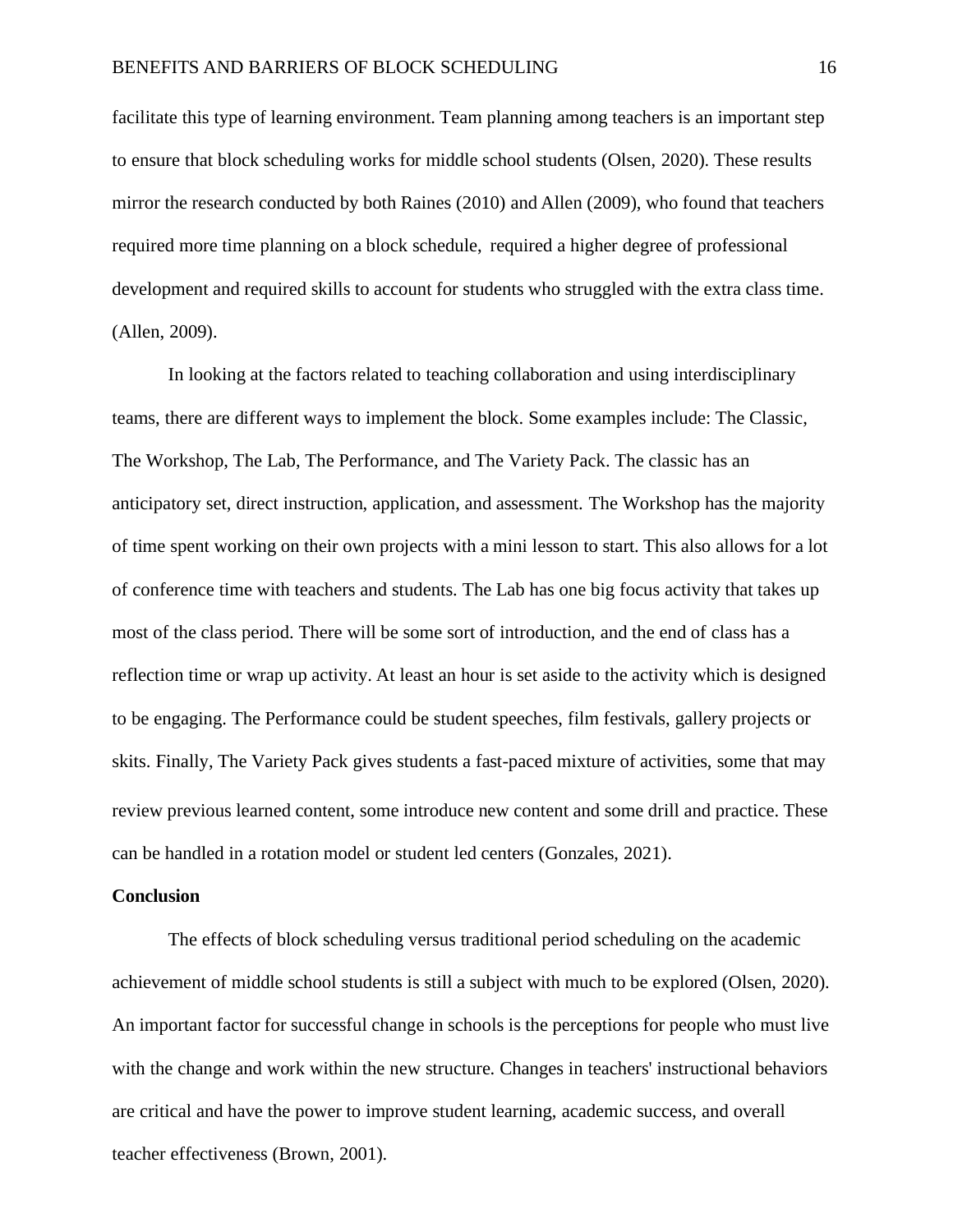facilitate this type of learning environment. Team planning among teachers is an important step to ensure that block scheduling works for middle school students (Olsen, 2020). These results mirror the research conducted by both Raines (2010) and Allen (2009), who found that teachers required more time planning on a block schedule, required a higher degree of professional development and required skills to account for students who struggled with the extra class time. (Allen, 2009).

In looking at the factors related to teaching collaboration and using interdisciplinary teams, there are different ways to implement the block. Some examples include: The Classic, The Workshop, The Lab, The Performance, and The Variety Pack. The classic has an anticipatory set, direct instruction, application, and assessment. The Workshop has the majority of time spent working on their own projects with a mini lesson to start. This also allows for a lot of conference time with teachers and students. The Lab has one big focus activity that takes up most of the class period. There will be some sort of introduction, and the end of class has a reflection time or wrap up activity. At least an hour is set aside to the activity which is designed to be engaging. The Performance could be student speeches, film festivals, gallery projects or skits. Finally, The Variety Pack gives students a fast-paced mixture of activities, some that may review previous learned content, some introduce new content and some drill and practice. These can be handled in a rotation model or student led centers (Gonzales, 2021).

#### **Conclusion**

The effects of block scheduling versus traditional period scheduling on the academic achievement of middle school students is still a subject with much to be explored (Olsen, 2020). An important factor for successful change in schools is the perceptions for people who must live with the change and work within the new structure. Changes in teachers' instructional behaviors are critical and have the power to improve student learning, academic success, and overall teacher effectiveness (Brown, 2001).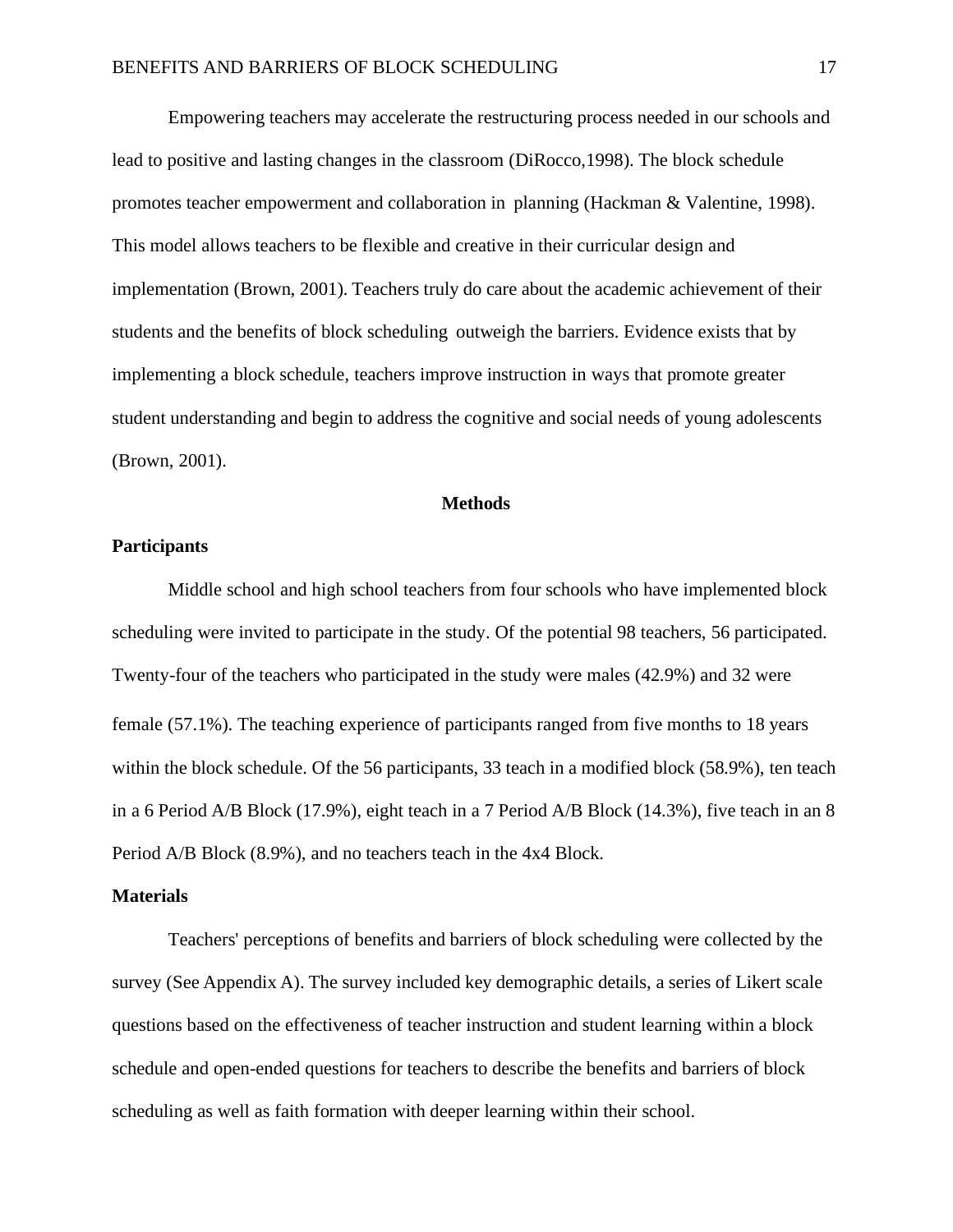Empowering teachers may accelerate the restructuring process needed in our schools and lead to positive and lasting changes in the classroom (DiRocco,1998). The block schedule promotes teacher empowerment and collaboration in planning (Hackman & Valentine, 1998). This model allows teachers to be flexible and creative in their curricular design and implementation (Brown, 2001). Teachers truly do care about the academic achievement of their students and the benefits of block scheduling outweigh the barriers. Evidence exists that by implementing a block schedule, teachers improve instruction in ways that promote greater student understanding and begin to address the cognitive and social needs of young adolescents (Brown, 2001).

#### **Methods**

#### <span id="page-18-0"></span>**Participants**

Middle school and high school teachers from four schools who have implemented block scheduling were invited to participate in the study. Of the potential 98 teachers, 56 participated. Twenty-four of the teachers who participated in the study were males (42.9%) and 32 were female (57.1%). The teaching experience of participants ranged from five months to 18 years within the block schedule. Of the 56 participants, 33 teach in a modified block (58.9%), ten teach in a 6 Period A/B Block (17.9%), eight teach in a 7 Period A/B Block (14.3%), five teach in an 8 Period A/B Block (8.9%), and no teachers teach in the 4x4 Block.

#### **Materials**

Teachers' perceptions of benefits and barriers of block scheduling were collected by the survey (See Appendix A). The survey included key demographic details, a series of Likert scale questions based on the effectiveness of teacher instruction and student learning within a block schedule and open-ended questions for teachers to describe the benefits and barriers of block scheduling as well as faith formation with deeper learning within their school.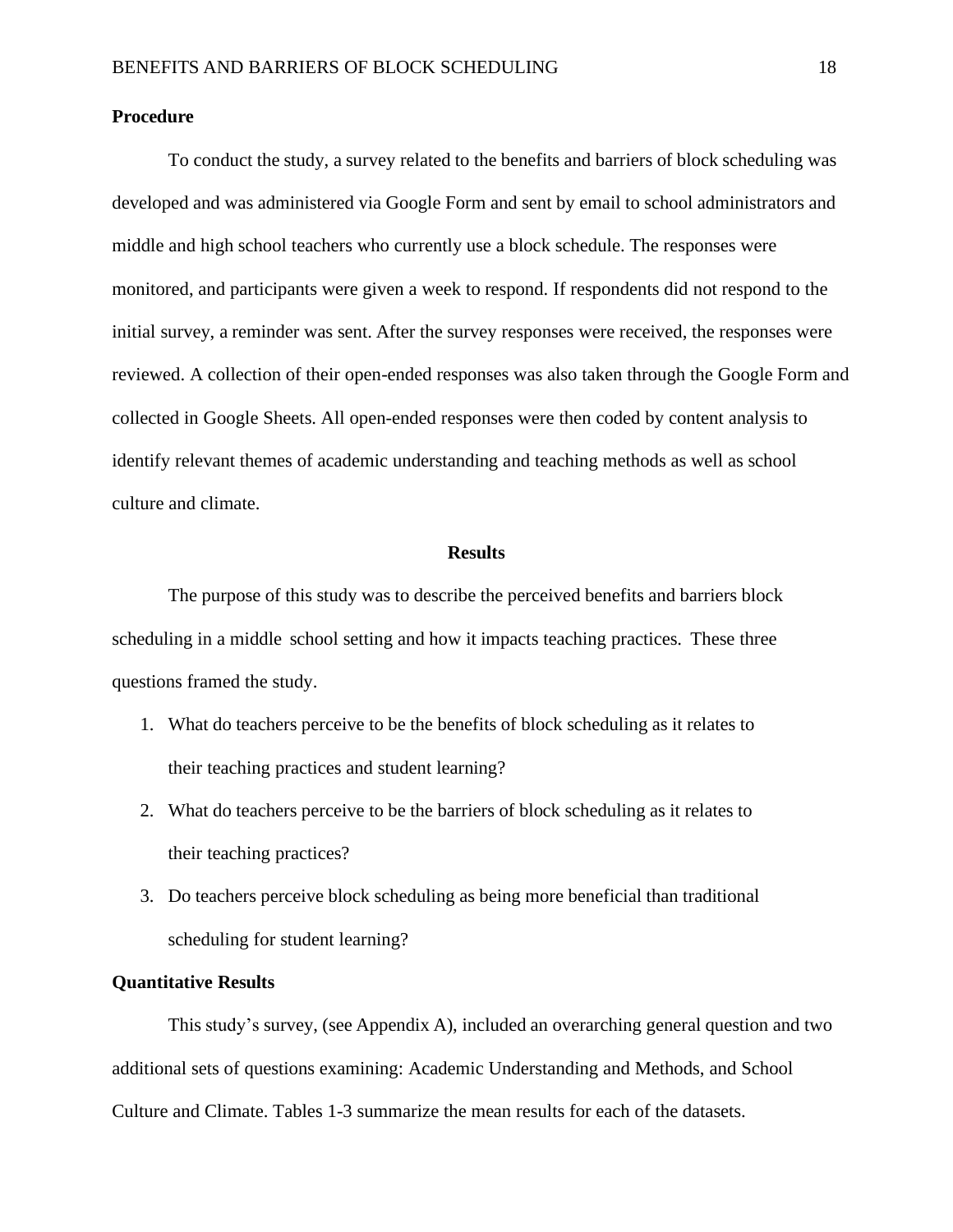#### **Procedure**

To conduct the study, a survey related to the benefits and barriers of block scheduling was developed and was administered via Google Form and sent by email to school administrators and middle and high school teachers who currently use a block schedule. The responses were monitored, and participants were given a week to respond. If respondents did not respond to the initial survey, a reminder was sent. After the survey responses were received, the responses were reviewed. A collection of their open-ended responses was also taken through the Google Form and collected in Google Sheets. All open-ended responses were then coded by content analysis to identify relevant themes of academic understanding and teaching methods as well as school culture and climate.

#### **Results**

<span id="page-19-0"></span>The purpose of this study was to describe the perceived benefits and barriers block scheduling in a middle school setting and how it impacts teaching practices. These three questions framed the study.

- 1. What do teachers perceive to be the benefits of block scheduling as it relates to their teaching practices and student learning?
- 2. What do teachers perceive to be the barriers of block scheduling as it relates to their teaching practices?
- 3. Do teachers perceive block scheduling as being more beneficial than traditional scheduling for student learning?

#### **Quantitative Results**

This study's survey, (see Appendix A), included an overarching general question and two additional sets of questions examining: Academic Understanding and Methods, and School Culture and Climate. Tables 1-3 summarize the mean results for each of the datasets.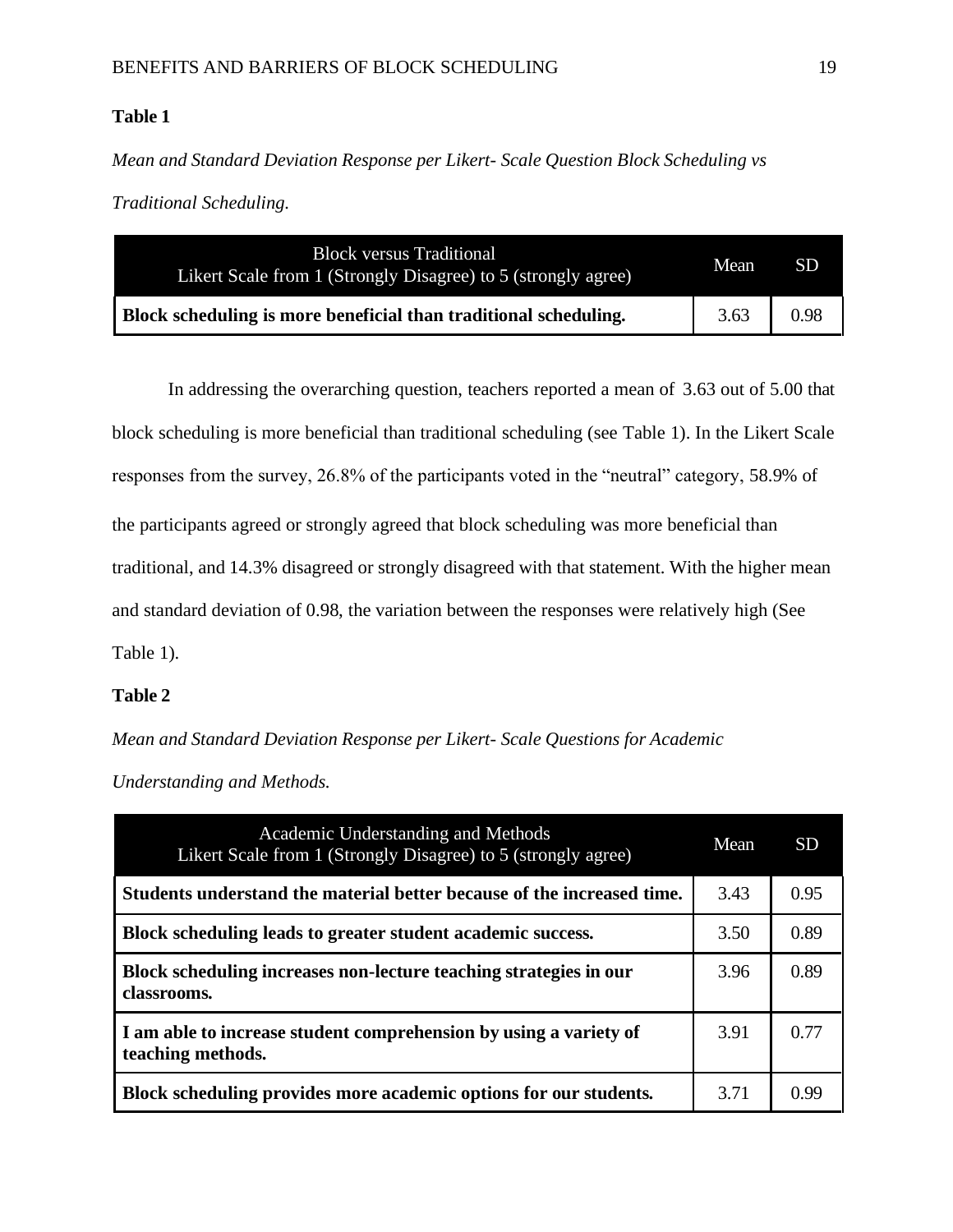## **Table 1**

*Mean and Standard Deviation Response per Likert- Scale Question Block Scheduling vs* 

*Traditional Scheduling.*

| <b>Block versus Traditional</b><br>Likert Scale from 1 (Strongly Disagree) to 5 (strongly agree) | Mean | <b>SD</b> |
|--------------------------------------------------------------------------------------------------|------|-----------|
| Block scheduling is more beneficial than traditional scheduling.                                 | 3.63 | 0.98      |

In addressing the overarching question, teachers reported a mean of 3.63 out of 5.00 that block scheduling is more beneficial than traditional scheduling (see Table 1). In the Likert Scale responses from the survey, 26.8% of the participants voted in the "neutral" category, 58.9% of the participants agreed or strongly agreed that block scheduling was more beneficial than traditional, and 14.3% disagreed or strongly disagreed with that statement. With the higher mean and standard deviation of 0.98, the variation between the responses were relatively high (See Table 1).

## **Table 2**

*Mean and Standard Deviation Response per Likert- Scale Questions for Academic* 

*Understanding and Methods.*

| Academic Understanding and Methods<br>Likert Scale from 1 (Strongly Disagree) to 5 (strongly agree) | Mean | <b>SD</b> |
|-----------------------------------------------------------------------------------------------------|------|-----------|
| Students understand the material better because of the increased time.                              | 3.43 | 0.95      |
| Block scheduling leads to greater student academic success.                                         | 3.50 | 0.89      |
| Block scheduling increases non-lecture teaching strategies in our<br>classrooms.                    | 3.96 | 0.89      |
| I am able to increase student comprehension by using a variety of<br>teaching methods.              | 3.91 | 0.77      |
| Block scheduling provides more academic options for our students.                                   | 3.71 | O 99      |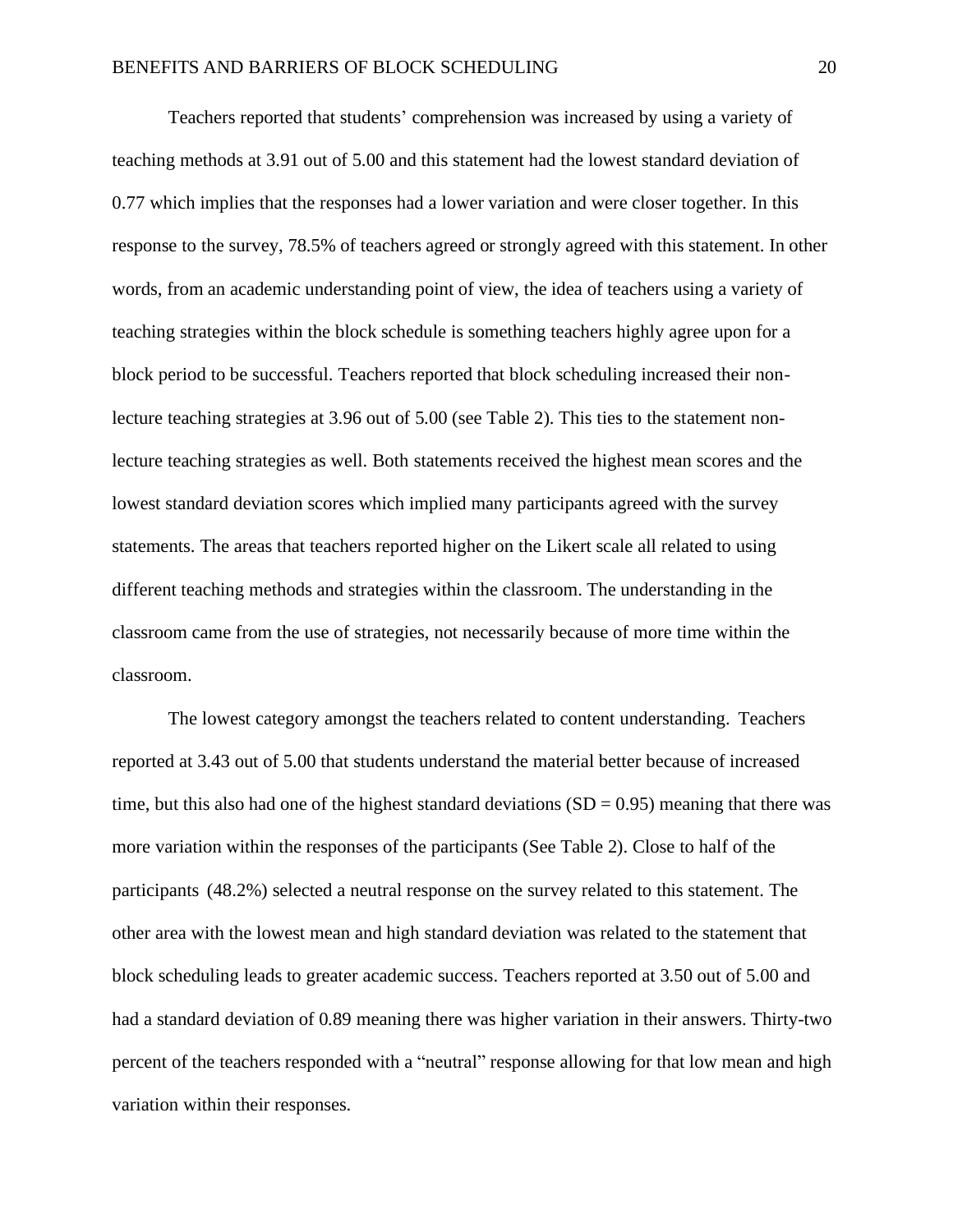Teachers reported that students' comprehension was increased by using a variety of teaching methods at 3.91 out of 5.00 and this statement had the lowest standard deviation of 0.77 which implies that the responses had a lower variation and were closer together. In this response to the survey, 78.5% of teachers agreed or strongly agreed with this statement. In other words, from an academic understanding point of view, the idea of teachers using a variety of teaching strategies within the block schedule is something teachers highly agree upon for a block period to be successful. Teachers reported that block scheduling increased their nonlecture teaching strategies at 3.96 out of 5.00 (see Table 2). This ties to the statement nonlecture teaching strategies as well. Both statements received the highest mean scores and the lowest standard deviation scores which implied many participants agreed with the survey statements. The areas that teachers reported higher on the Likert scale all related to using different teaching methods and strategies within the classroom. The understanding in the classroom came from the use of strategies, not necessarily because of more time within the classroom.

The lowest category amongst the teachers related to content understanding. Teachers reported at 3.43 out of 5.00 that students understand the material better because of increased time, but this also had one of the highest standard deviations  $(SD = 0.95)$  meaning that there was more variation within the responses of the participants (See Table 2). Close to half of the participants (48.2%) selected a neutral response on the survey related to this statement. The other area with the lowest mean and high standard deviation was related to the statement that block scheduling leads to greater academic success. Teachers reported at 3.50 out of 5.00 and had a standard deviation of 0.89 meaning there was higher variation in their answers. Thirty-two percent of the teachers responded with a "neutral" response allowing for that low mean and high variation within their responses.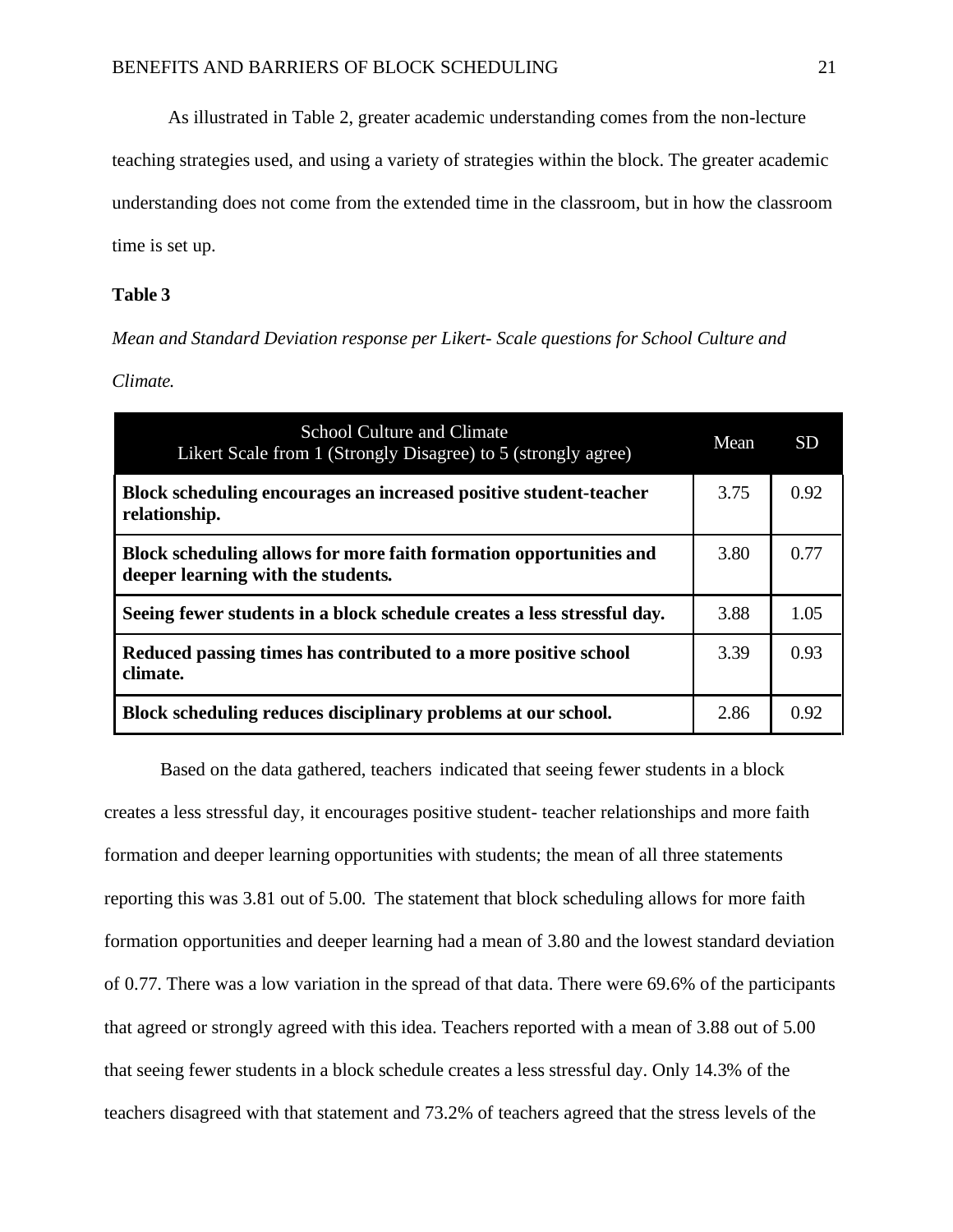As illustrated in Table 2, greater academic understanding comes from the non-lecture

teaching strategies used, and using a variety of strategies within the block. The greater academic

understanding does not come from the extended time in the classroom, but in how the classroom

time is set up.

# **Table 3**

*Mean and Standard Deviation response per Likert- Scale questions for School Culture and* 

*Climate.*

| <b>School Culture and Climate</b><br>Likert Scale from 1 (Strongly Disagree) to 5 (strongly agree)       | Mean | SD <sub>1</sub> |
|----------------------------------------------------------------------------------------------------------|------|-----------------|
| Block scheduling encourages an increased positive student-teacher<br>relationship.                       | 3.75 | 0.92            |
| Block scheduling allows for more faith formation opportunities and<br>deeper learning with the students. | 3.80 | 0.77            |
| Seeing fewer students in a block schedule creates a less stressful day.                                  | 3.88 | 1.05            |
| Reduced passing times has contributed to a more positive school<br>climate.                              | 3.39 | 0.93            |
| Block scheduling reduces disciplinary problems at our school.                                            | 2.86 | 0.92            |

Based on the data gathered, teachers indicated that seeing fewer students in a block creates a less stressful day, it encourages positive student- teacher relationships and more faith formation and deeper learning opportunities with students; the mean of all three statements reporting this was 3.81 out of 5.00. The statement that block scheduling allows for more faith formation opportunities and deeper learning had a mean of 3.80 and the lowest standard deviation of 0.77. There was a low variation in the spread of that data. There were 69.6% of the participants that agreed or strongly agreed with this idea. Teachers reported with a mean of 3.88 out of 5.00 that seeing fewer students in a block schedule creates a less stressful day. Only 14.3% of the teachers disagreed with that statement and 73.2% of teachers agreed that the stress levels of the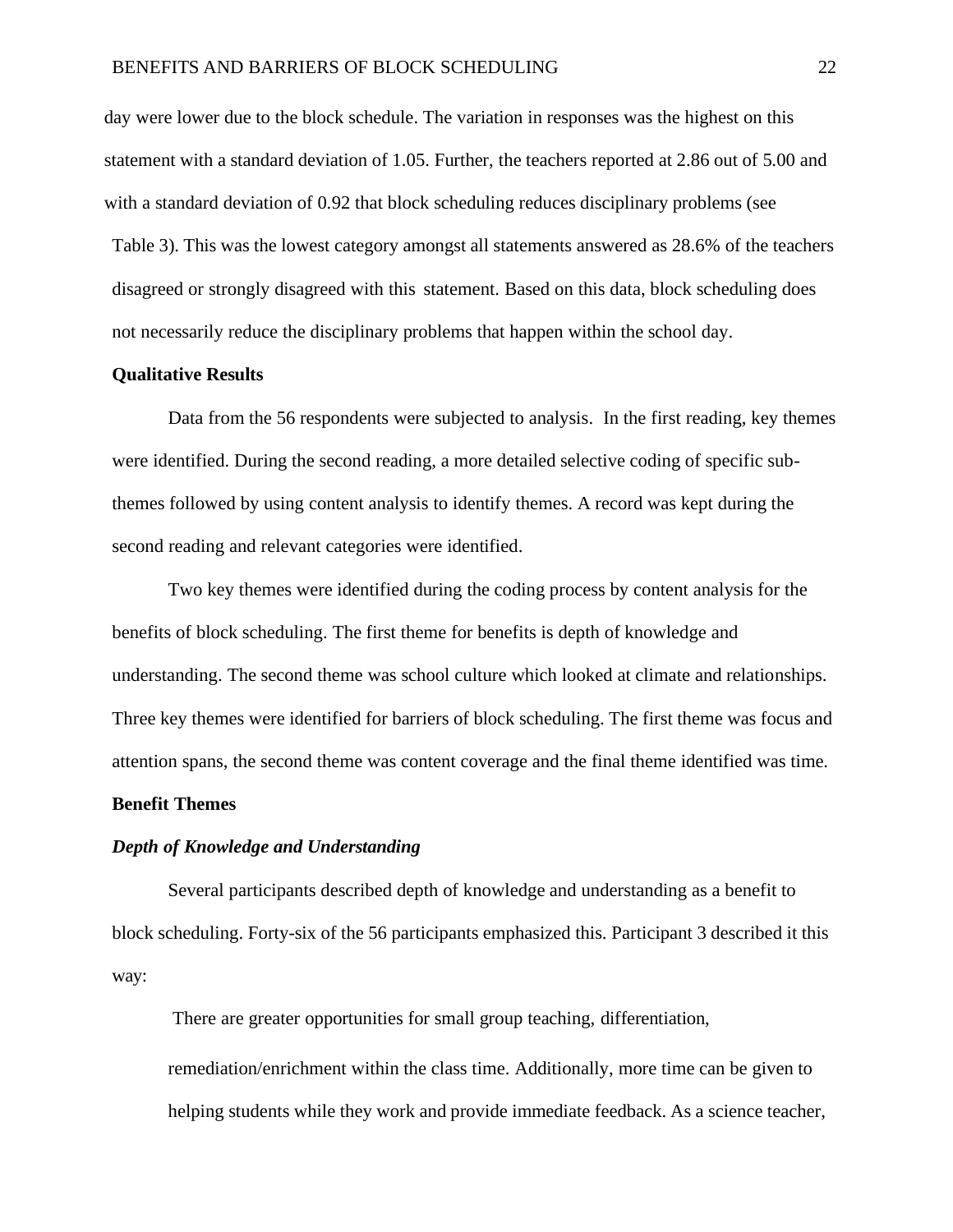day were lower due to the block schedule. The variation in responses was the highest on this statement with a standard deviation of 1.05. Further, the teachers reported at 2.86 out of 5.00 and with a standard deviation of 0.92 that block scheduling reduces disciplinary problems (see Table 3). This was the lowest category amongst all statements answered as 28.6% of the teachers disagreed or strongly disagreed with this statement. Based on this data, block scheduling does not necessarily reduce the disciplinary problems that happen within the school day.

#### **Qualitative Results**

Data from the 56 respondents were subjected to analysis. In the first reading, key themes were identified. During the second reading, a more detailed selective coding of specific subthemes followed by using content analysis to identify themes. A record was kept during the second reading and relevant categories were identified.

Two key themes were identified during the coding process by content analysis for the benefits of block scheduling. The first theme for benefits is depth of knowledge and understanding. The second theme was school culture which looked at climate and relationships. Three key themes were identified for barriers of block scheduling. The first theme was focus and attention spans, the second theme was content coverage and the final theme identified was time.

# **Benefit Themes**

#### *Depth of Knowledge and Understanding*

Several participants described depth of knowledge and understanding as a benefit to block scheduling. Forty-six of the 56 participants emphasized this. Participant 3 described it this way:

There are greater opportunities for small group teaching, differentiation, remediation/enrichment within the class time. Additionally, more time can be given to helping students while they work and provide immediate feedback. As a science teacher,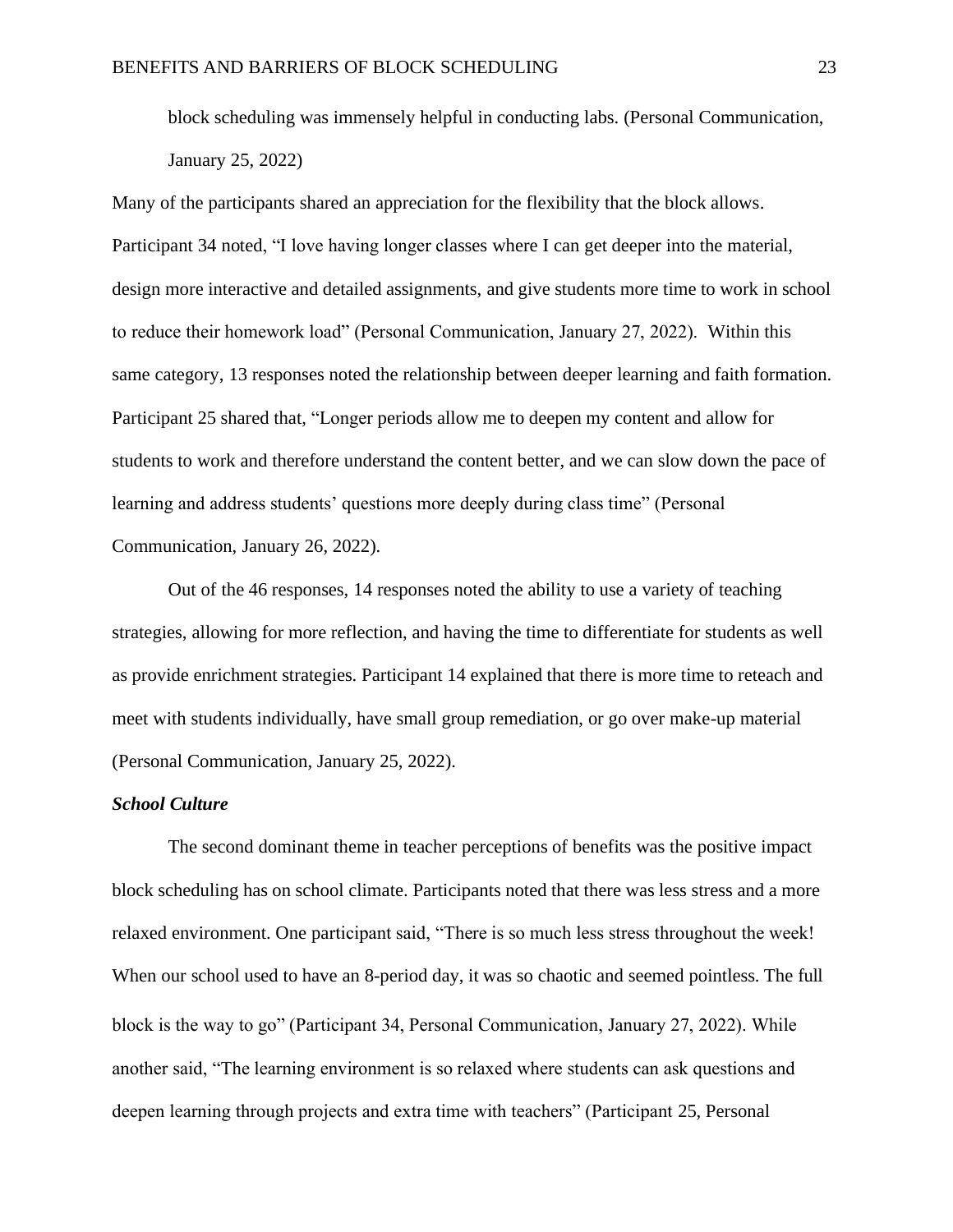block scheduling was immensely helpful in conducting labs. (Personal Communication, January 25, 2022)

Many of the participants shared an appreciation for the flexibility that the block allows. Participant 34 noted, "I love having longer classes where I can get deeper into the material, design more interactive and detailed assignments, and give students more time to work in school to reduce their homework load" (Personal Communication, January 27, 2022). Within this same category, 13 responses noted the relationship between deeper learning and faith formation. Participant 25 shared that, "Longer periods allow me to deepen my content and allow for students to work and therefore understand the content better, and we can slow down the pace of learning and address students' questions more deeply during class time" (Personal Communication, January 26, 2022).

Out of the 46 responses, 14 responses noted the ability to use a variety of teaching strategies, allowing for more reflection, and having the time to differentiate for students as well as provide enrichment strategies. Participant 14 explained that there is more time to reteach and meet with students individually, have small group remediation, or go over make-up material (Personal Communication, January 25, 2022).

### *School Culture*

The second dominant theme in teacher perceptions of benefits was the positive impact block scheduling has on school climate. Participants noted that there was less stress and a more relaxed environment. One participant said, "There is so much less stress throughout the week! When our school used to have an 8-period day, it was so chaotic and seemed pointless. The full block is the way to go" (Participant 34, Personal Communication, January 27, 2022). While another said, "The learning environment is so relaxed where students can ask questions and deepen learning through projects and extra time with teachers" (Participant 25, Personal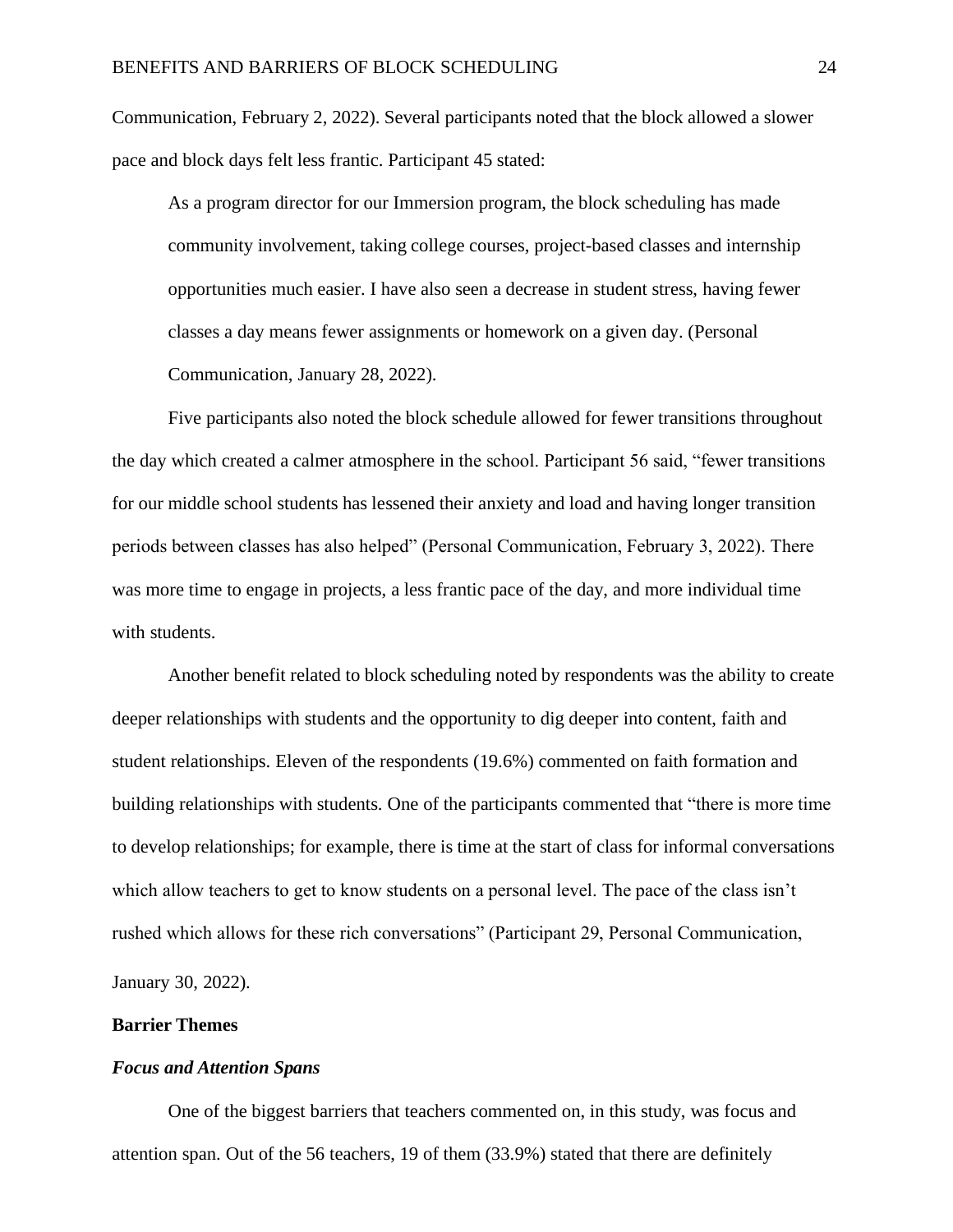Communication, February 2, 2022). Several participants noted that the block allowed a slower pace and block days felt less frantic. Participant 45 stated:

As a program director for our Immersion program, the block scheduling has made community involvement, taking college courses, project-based classes and internship opportunities much easier. I have also seen a decrease in student stress, having fewer classes a day means fewer assignments or homework on a given day. (Personal Communication, January 28, 2022).

Five participants also noted the block schedule allowed for fewer transitions throughout the day which created a calmer atmosphere in the school. Participant 56 said, "fewer transitions for our middle school students has lessened their anxiety and load and having longer transition periods between classes has also helped" (Personal Communication, February 3, 2022). There was more time to engage in projects, a less frantic pace of the day, and more individual time with students.

Another benefit related to block scheduling noted by respondents was the ability to create deeper relationships with students and the opportunity to dig deeper into content, faith and student relationships. Eleven of the respondents (19.6%) commented on faith formation and building relationships with students. One of the participants commented that "there is more time to develop relationships; for example, there is time at the start of class for informal conversations which allow teachers to get to know students on a personal level. The pace of the class isn't rushed which allows for these rich conversations" (Participant 29, Personal Communication, January 30, 2022).

#### **Barrier Themes**

### *Focus and Attention Spans*

One of the biggest barriers that teachers commented on, in this study, was focus and attention span. Out of the 56 teachers, 19 of them (33.9%) stated that there are definitely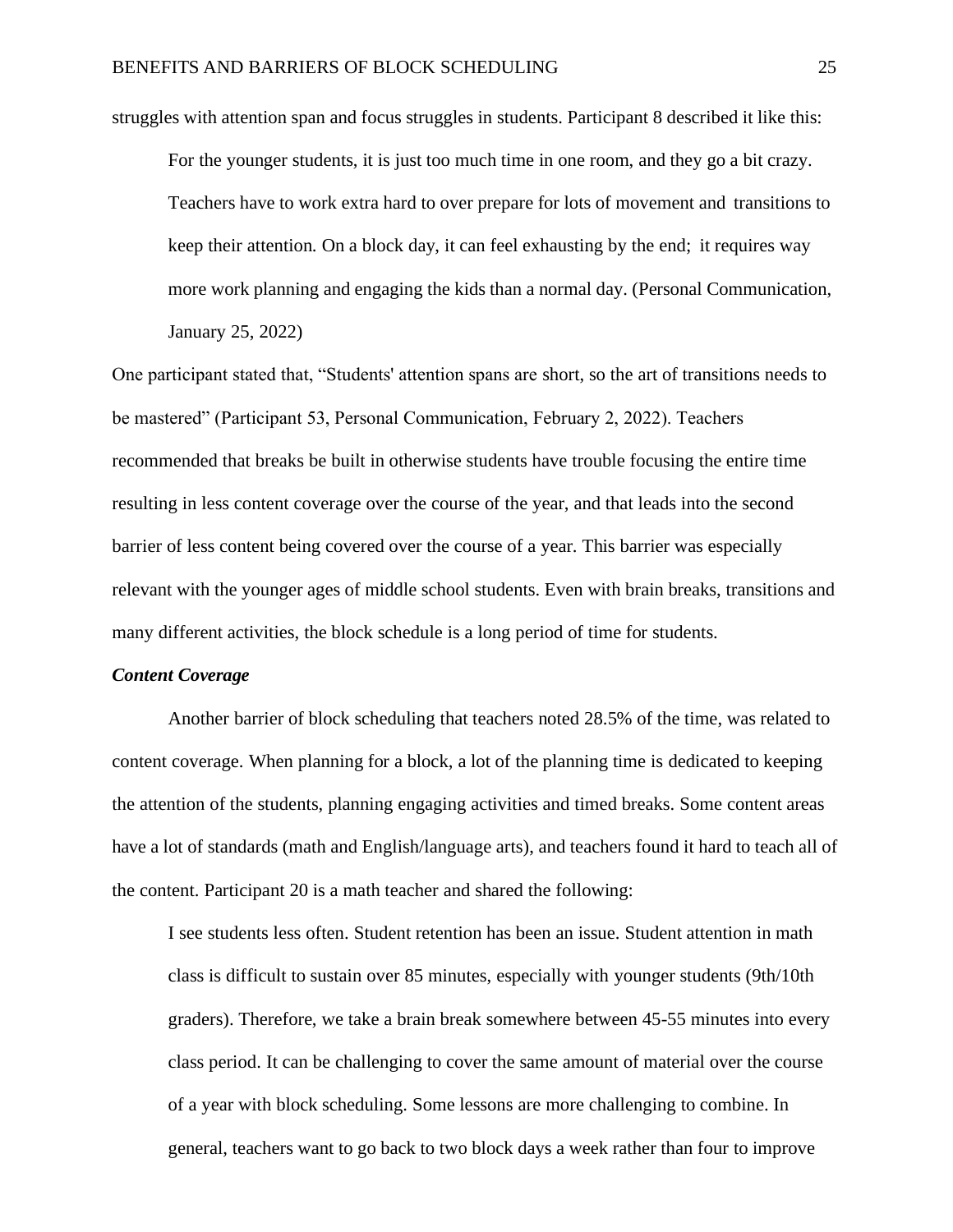struggles with attention span and focus struggles in students. Participant 8 described it like this: For the younger students, it is just too much time in one room, and they go a bit crazy. Teachers have to work extra hard to over prepare for lots of movement and transitions to keep their attention. On a block day, it can feel exhausting by the end; it requires way more work planning and engaging the kids than a normal day. (Personal Communication, January 25, 2022)

One participant stated that, "Students' attention spans are short, so the art of transitions needs to be mastered" (Participant 53, Personal Communication, February 2, 2022). Teachers recommended that breaks be built in otherwise students have trouble focusing the entire time resulting in less content coverage over the course of the year, and that leads into the second barrier of less content being covered over the course of a year. This barrier was especially relevant with the younger ages of middle school students. Even with brain breaks, transitions and many different activities, the block schedule is a long period of time for students.

#### *Content Coverage*

Another barrier of block scheduling that teachers noted 28.5% of the time, was related to content coverage. When planning for a block, a lot of the planning time is dedicated to keeping the attention of the students, planning engaging activities and timed breaks. Some content areas have a lot of standards (math and English/language arts), and teachers found it hard to teach all of the content. Participant 20 is a math teacher and shared the following:

I see students less often. Student retention has been an issue. Student attention in math class is difficult to sustain over 85 minutes, especially with younger students (9th/10th graders). Therefore, we take a brain break somewhere between 45-55 minutes into every class period. It can be challenging to cover the same amount of material over the course of a year with block scheduling. Some lessons are more challenging to combine. In general, teachers want to go back to two block days a week rather than four to improve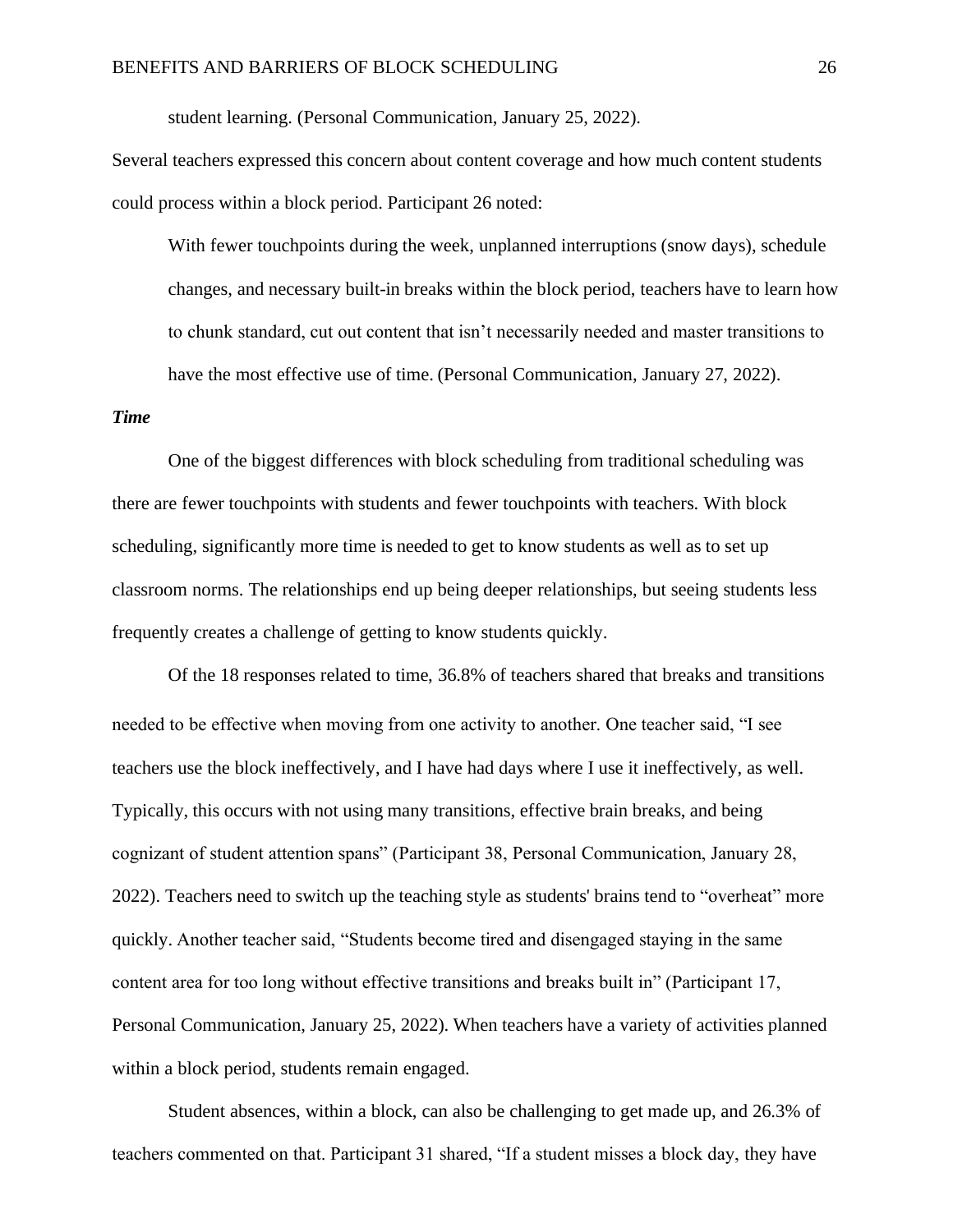student learning. (Personal Communication, January 25, 2022).

Several teachers expressed this concern about content coverage and how much content students could process within a block period. Participant 26 noted:

With fewer touchpoints during the week, unplanned interruptions (snow days), schedule changes, and necessary built-in breaks within the block period, teachers have to learn how to chunk standard, cut out content that isn't necessarily needed and master transitions to have the most effective use of time. (Personal Communication, January 27, 2022).

#### *Time*

One of the biggest differences with block scheduling from traditional scheduling was there are fewer touchpoints with students and fewer touchpoints with teachers. With block scheduling, significantly more time is needed to get to know students as well as to set up classroom norms. The relationships end up being deeper relationships, but seeing students less frequently creates a challenge of getting to know students quickly.

Of the 18 responses related to time, 36.8% of teachers shared that breaks and transitions needed to be effective when moving from one activity to another. One teacher said, "I see teachers use the block ineffectively, and I have had days where I use it ineffectively, as well. Typically, this occurs with not using many transitions, effective brain breaks, and being cognizant of student attention spans" (Participant 38, Personal Communication, January 28, 2022). Teachers need to switch up the teaching style as students' brains tend to "overheat" more quickly. Another teacher said, "Students become tired and disengaged staying in the same content area for too long without effective transitions and breaks built in" (Participant 17, Personal Communication, January 25, 2022). When teachers have a variety of activities planned within a block period, students remain engaged.

Student absences, within a block, can also be challenging to get made up, and 26.3% of teachers commented on that. Participant 31 shared, "If a student misses a block day, they have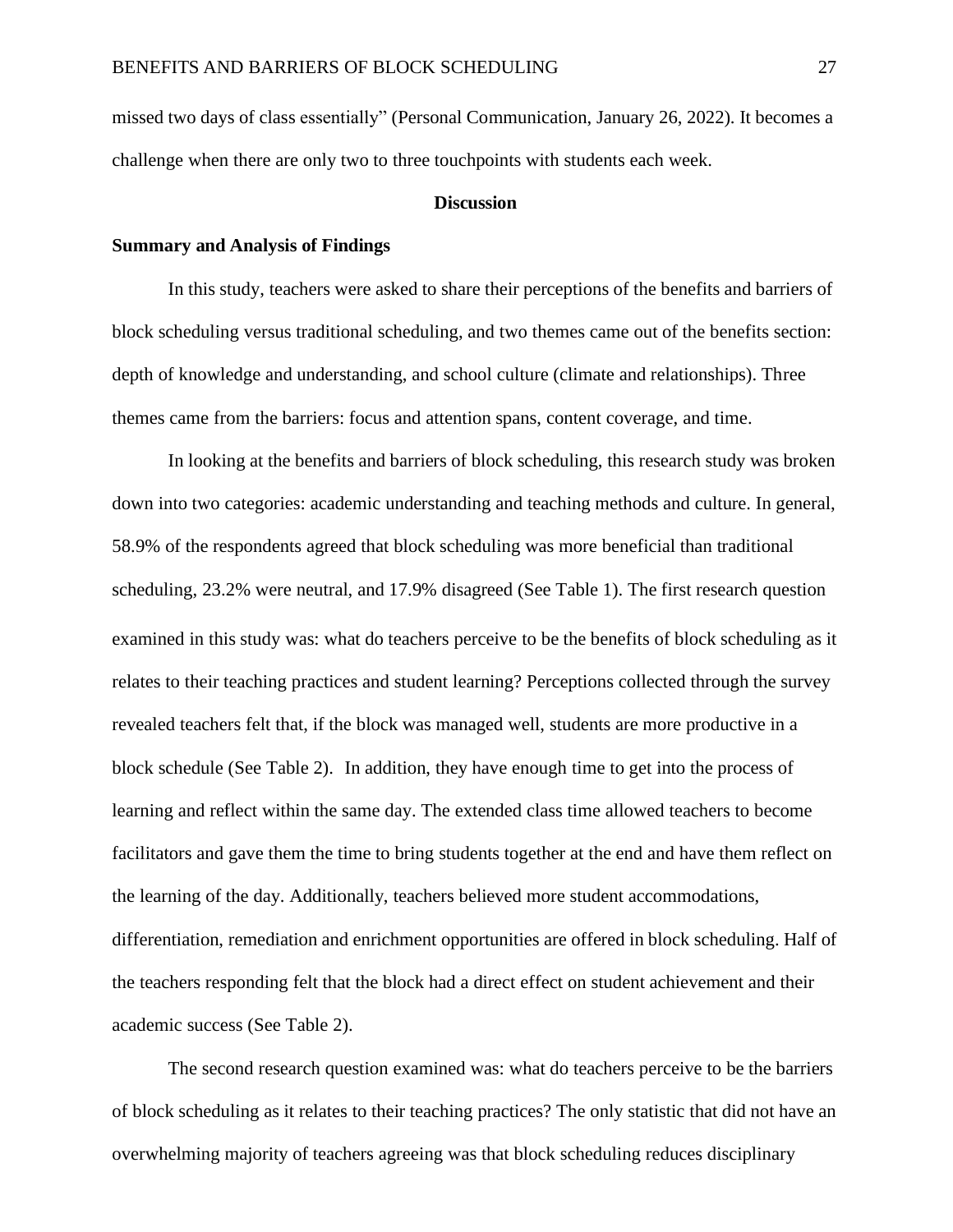missed two days of class essentially" (Personal Communication, January 26, 2022). It becomes a challenge when there are only two to three touchpoints with students each week.

#### **Discussion**

#### <span id="page-28-0"></span>**Summary and Analysis of Findings**

In this study, teachers were asked to share their perceptions of the benefits and barriers of block scheduling versus traditional scheduling, and two themes came out of the benefits section: depth of knowledge and understanding, and school culture (climate and relationships). Three themes came from the barriers: focus and attention spans, content coverage, and time.

In looking at the benefits and barriers of block scheduling, this research study was broken down into two categories: academic understanding and teaching methods and culture. In general, 58.9% of the respondents agreed that block scheduling was more beneficial than traditional scheduling, 23.2% were neutral, and 17.9% disagreed (See Table 1). The first research question examined in this study was: what do teachers perceive to be the benefits of block scheduling as it relates to their teaching practices and student learning? Perceptions collected through the survey revealed teachers felt that, if the block was managed well, students are more productive in a block schedule (See Table 2). In addition, they have enough time to get into the process of learning and reflect within the same day. The extended class time allowed teachers to become facilitators and gave them the time to bring students together at the end and have them reflect on the learning of the day. Additionally, teachers believed more student accommodations, differentiation, remediation and enrichment opportunities are offered in block scheduling. Half of the teachers responding felt that the block had a direct effect on student achievement and their academic success (See Table 2).

The second research question examined was: what do teachers perceive to be the barriers of block scheduling as it relates to their teaching practices? The only statistic that did not have an overwhelming majority of teachers agreeing was that block scheduling reduces disciplinary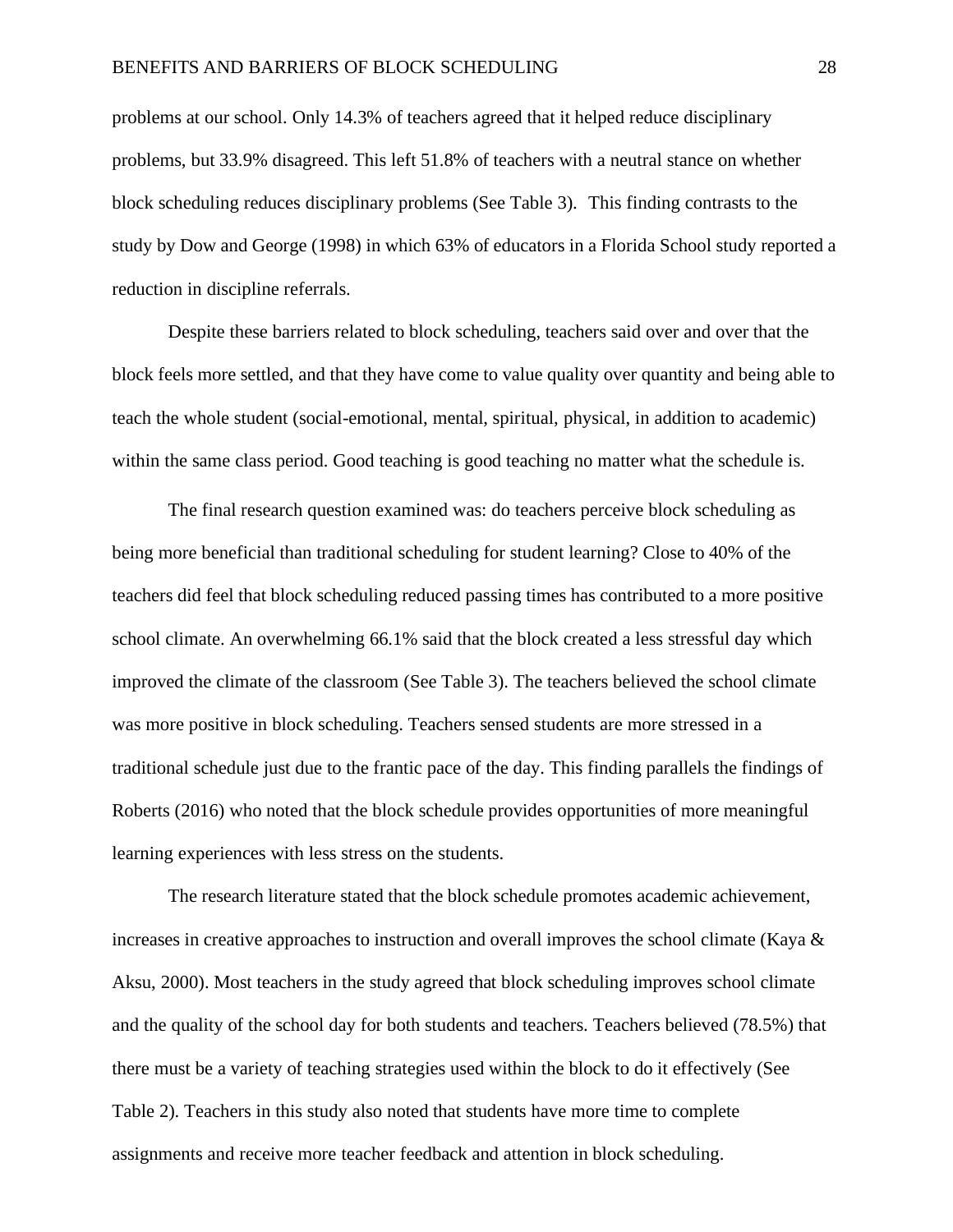problems at our school. Only 14.3% of teachers agreed that it helped reduce disciplinary problems, but 33.9% disagreed. This left 51.8% of teachers with a neutral stance on whether block scheduling reduces disciplinary problems (See Table 3). This finding contrasts to the study by Dow and George (1998) in which 63% of educators in a Florida School study reported a reduction in discipline referrals.

Despite these barriers related to block scheduling, teachers said over and over that the block feels more settled, and that they have come to value quality over quantity and being able to teach the whole student (social-emotional, mental, spiritual, physical, in addition to academic) within the same class period. Good teaching is good teaching no matter what the schedule is.

The final research question examined was: do teachers perceive block scheduling as being more beneficial than traditional scheduling for student learning? Close to 40% of the teachers did feel that block scheduling reduced passing times has contributed to a more positive school climate. An overwhelming 66.1% said that the block created a less stressful day which improved the climate of the classroom (See Table 3). The teachers believed the school climate was more positive in block scheduling. Teachers sensed students are more stressed in a traditional schedule just due to the frantic pace of the day. This finding parallels the findings of Roberts (2016) who noted that the block schedule provides opportunities of more meaningful learning experiences with less stress on the students.

The research literature stated that the block schedule promotes academic achievement, increases in creative approaches to instruction and overall improves the school climate (Kaya  $\&$ Aksu, 2000). Most teachers in the study agreed that block scheduling improves school climate and the quality of the school day for both students and teachers. Teachers believed (78.5%) that there must be a variety of teaching strategies used within the block to do it effectively (See Table 2). Teachers in this study also noted that students have more time to complete assignments and receive more teacher feedback and attention in block scheduling.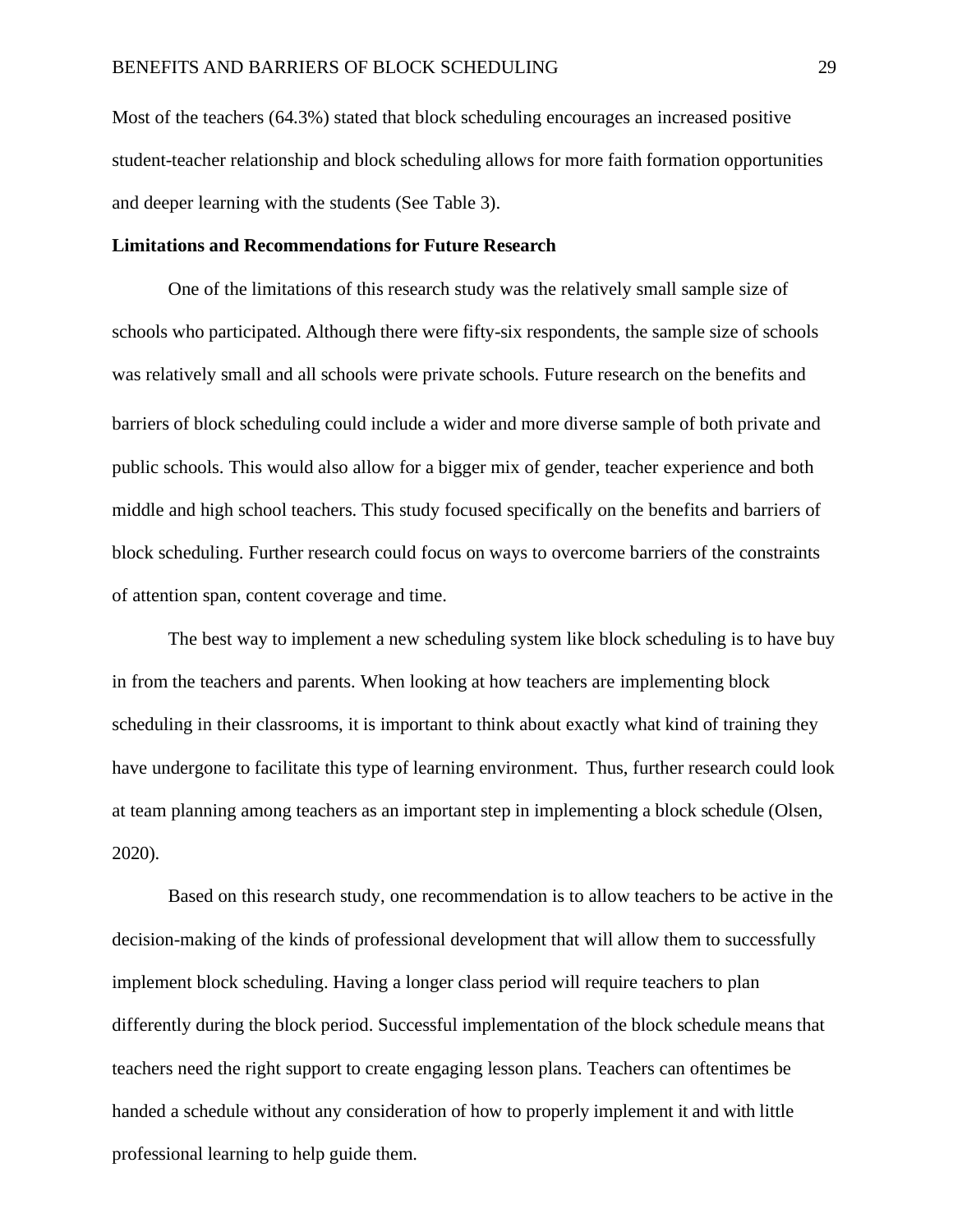Most of the teachers (64.3%) stated that block scheduling encourages an increased positive student-teacher relationship and block scheduling allows for more faith formation opportunities and deeper learning with the students (See Table 3).

#### **Limitations and Recommendations for Future Research**

One of the limitations of this research study was the relatively small sample size of schools who participated. Although there were fifty-six respondents, the sample size of schools was relatively small and all schools were private schools. Future research on the benefits and barriers of block scheduling could include a wider and more diverse sample of both private and public schools. This would also allow for a bigger mix of gender, teacher experience and both middle and high school teachers. This study focused specifically on the benefits and barriers of block scheduling. Further research could focus on ways to overcome barriers of the constraints of attention span, content coverage and time.

The best way to implement a new scheduling system like block scheduling is to have buy in from the teachers and parents. When looking at how teachers are implementing block scheduling in their classrooms, it is important to think about exactly what kind of training they have undergone to facilitate this type of learning environment. Thus, further research could look at team planning among teachers as an important step in implementing a block schedule (Olsen, 2020).

Based on this research study, one recommendation is to allow teachers to be active in the decision-making of the kinds of professional development that will allow them to successfully implement block scheduling. Having a longer class period will require teachers to plan differently during the block period. Successful implementation of the block schedule means that teachers need the right support to create engaging lesson plans. Teachers can oftentimes be handed a schedule without any consideration of how to properly implement it and with little professional learning to help guide them.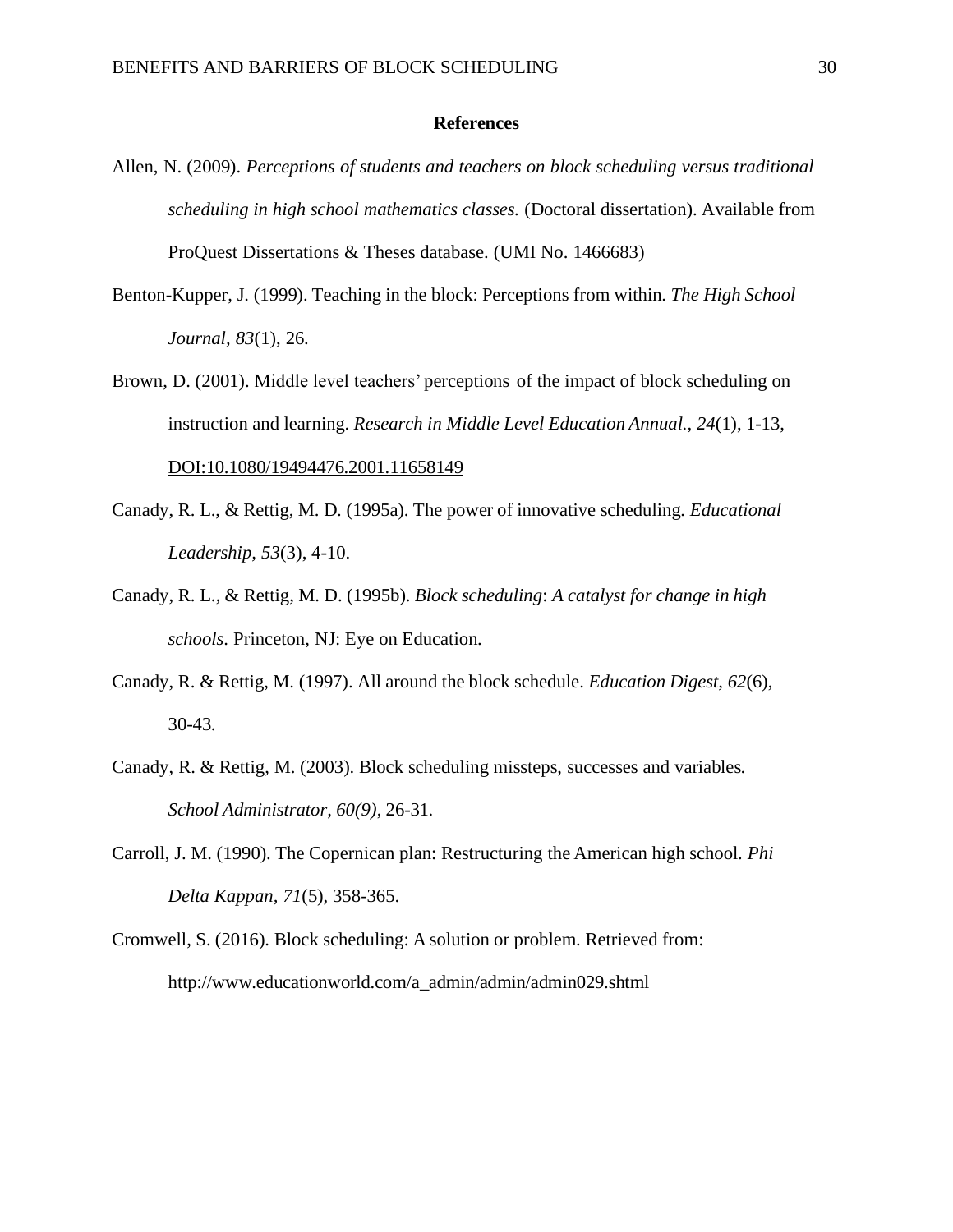#### **References**

- <span id="page-31-0"></span>Allen, N. (2009). *Perceptions of students and teachers on block scheduling versus traditional scheduling in high school mathematics classes.* (Doctoral dissertation). Available from ProQuest Dissertations & Theses database. (UMI No. 1466683)
- Benton-Kupper, J. (1999). Teaching in the block: Perceptions from within. *The High School Journal, 83*(1), 26.
- Brown, D. (2001). Middle level teachers' perceptions of the impact of block scheduling on instruction and learning. *Research in Middle Level Education Annual., 24*(1), 1-13, DOI:10.1080/19494476.2001.11658149
- Canady, R. L., & Rettig, M. D. (1995a). The power of innovative scheduling*. Educational Leadership, 53*(3), 4-10.
- Canady, R. L., & Rettig, M. D. (1995b). *Block scheduling*: *A catalyst for change in high schools*. Princeton, NJ: Eye on Education.
- Canady, R. & Rettig, M. (1997). All around the block schedule. *Education Digest, 62*(6), 30-43.
- Canady, R. & Rettig, M. (2003). Block scheduling missteps, successes and variables. *School Administrator, 60(9)*, 26-31.
- Carroll, J. M. (1990). The Copernican plan: Restructuring the American high school*. Phi Delta Kappan, 71*(5), 358-365.
- Cromwell, S. (2016). Block scheduling: A solution or problem. Retrieved from: [http://www.educationworld.com/a\\_admin/admin/admin029.shtml](http://www.educationworld.com/a_admin/admin/admin029.shtml)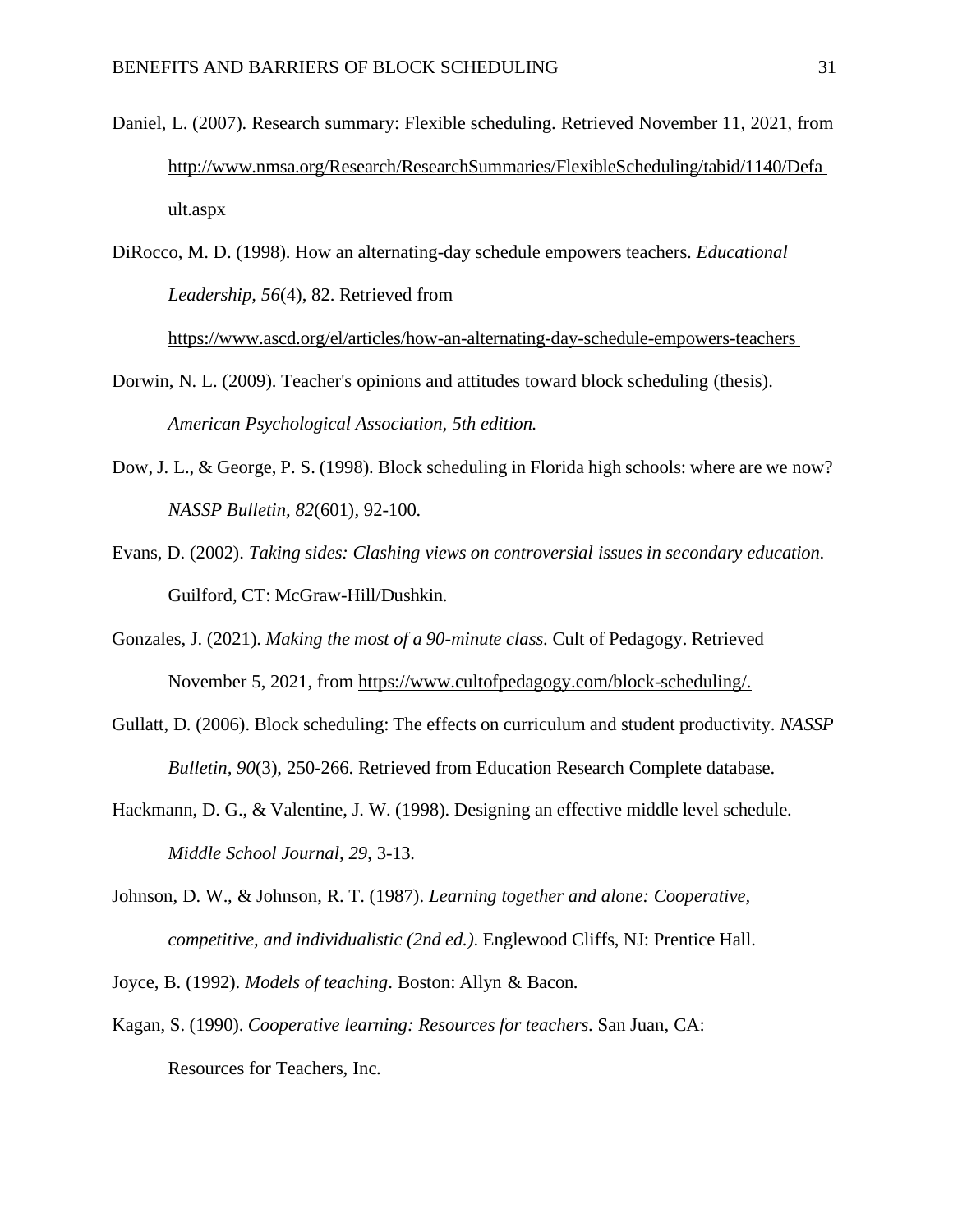Daniel, L. (2007). Research summary: Flexible scheduling. Retrieved November 11, 2021, from [http://www.nmsa.org/Research/ResearchSummaries/FlexibleScheduling/tabid/1140/Defa](http://www.nmsa.org/Research/ResearchSummaries/FlexibleScheduling/tabid/1140/Default.aspx) [ult.aspx](http://www.nmsa.org/Research/ResearchSummaries/FlexibleScheduling/tabid/1140/Default.aspx)

DiRocco, M. D. (1998). How an alternating-day schedule empowers teachers. *Educational Leadership, 56*(4), 82. Retrieved from

<https://www.ascd.org/el/articles/how-an-alternating-day-schedule-empowers-teachers>

- Dorwin, N. L. (2009). Teacher's opinions and attitudes toward block scheduling (thesis). *American Psychological Association, 5th edition.*
- Dow, J. L., & George, P. S. (1998). Block scheduling in Florida high schools: where are we now? *NASSP Bulletin, 82*(601)*,* 92-100*.*
- Evans, D. (2002). *Taking sides: Clashing views on controversial issues in secondary education*. Guilford, CT: McGraw-Hill/Dushkin.
- Gonzales, J. (2021). *Making the most of a 90-minute class*. Cult of Pedagogy. Retrieved November 5, 2021, from [https://www.cultofpedagogy.com/block-scheduling/.](https://www.cultofpedagogy.com/block-scheduling/)
- Gullatt, D. (2006). Block scheduling: The effects on curriculum and student productivity. *NASSP Bulletin, 90*(3), 250-266. Retrieved from Education Research Complete database.
- Hackmann, D. G., & Valentine, J. W. (1998). Designing an effective middle level schedule. *Middle School Journal, 29*, 3-13.
- Johnson, D. W., & Johnson, R. T. (1987). *Learning together and alone: Cooperative, competitive, and individualistic (2nd ed.)*. Englewood Cliffs, NJ: Prentice Hall.
- Joyce, B. (1992). *Models of teaching*. Boston: Allyn & Bacon.
- Kagan, S. (1990). *Cooperative learning: Resources for teachers*. San Juan, CA: Resources for Teachers, Inc.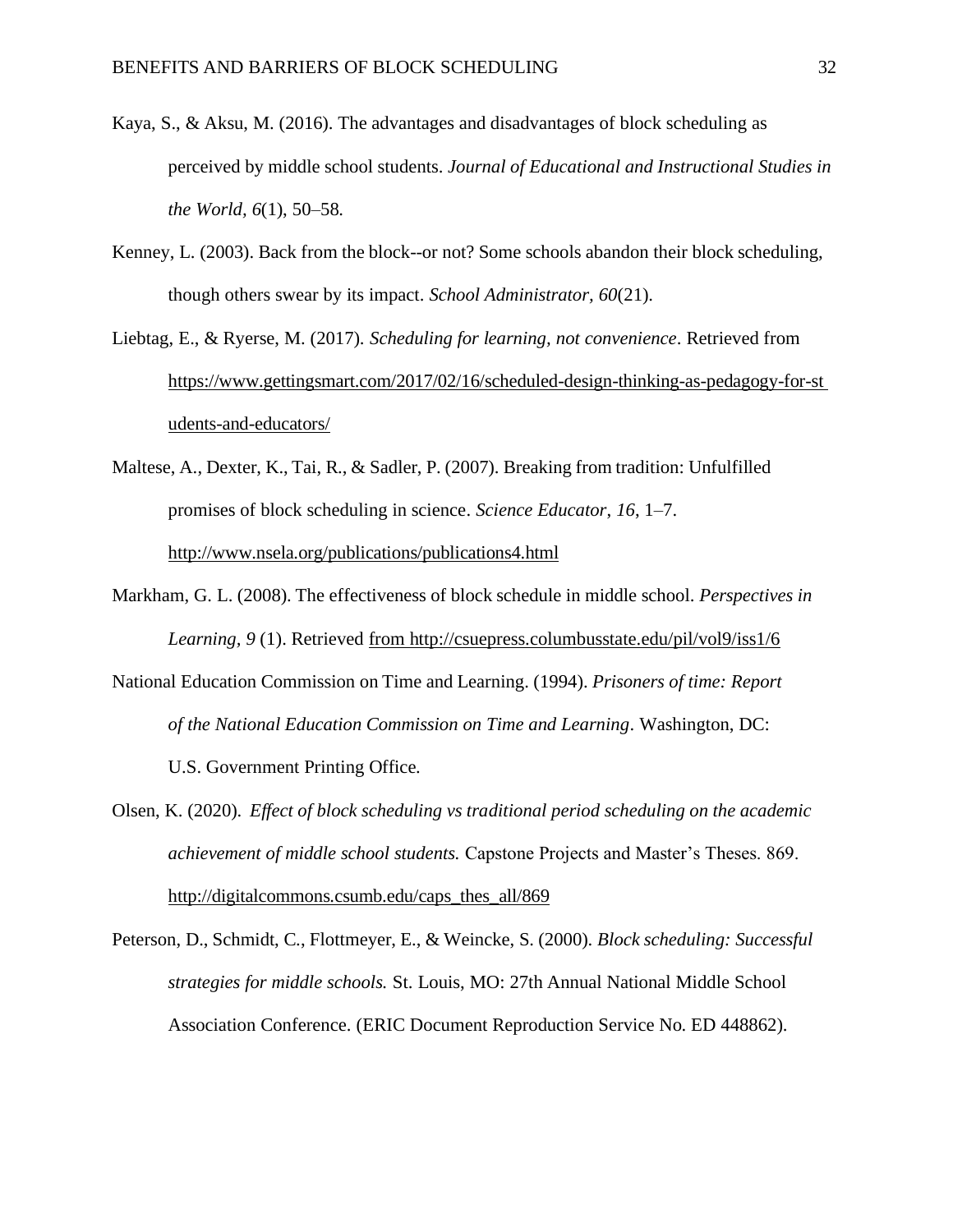- Kaya, S., & Aksu, M. (2016). The advantages and disadvantages of block scheduling as perceived by middle school students. *Journal of Educational and Instructional Studies in the World, 6*(1), 50–58.
- Kenney, L. (2003). Back from the block--or not? Some schools abandon their block scheduling, though others swear by its impact. *School Administrator, 60*(21).
- Liebtag, E., & Ryerse, M. (2017). *Scheduling for learning, not convenience*. Retrieved from [https://www.gettingsmart.com/2017/02/16/scheduled-design-thinking-as-pedagogy-for-st](https://www.gettingsmart.com/2017/02/16/scheduled-design-thinking-as-pedagogy-for-students-and-educators/) [udents-and-educators/](https://www.gettingsmart.com/2017/02/16/scheduled-design-thinking-as-pedagogy-for-students-and-educators/)
- Maltese, A., Dexter, K., Tai, R., & Sadler, P. (2007). Breaking from tradition: Unfulfilled promises of block scheduling in science. *Science Educator*, *16*, 1–7. <http://www.nsela.org/publications/publications4.html>
- Markham, G. L. (2008). The effectiveness of block schedule in middle school. *Perspectives in Learning, 9* (1). Retrieved from<http://csuepress.columbusstate.edu/pil/vol9/iss1/6>
- National Education Commission on Time and Learning. (1994). *Prisoners of time: Report of the National Education Commission on Time and Learning*. Washington, DC: U.S. Government Printing Office.
- Olsen, K. (2020). *Effect of block scheduling vs traditional period scheduling on the academic achievement of middle school students.* Capstone Projects and Master's Theses. 869. [http://digitalcommons.csumb.edu/caps\\_thes\\_all/869](http://digitalcommons.csumb.edu/caps_thes_all/869)
- Peterson, D., Schmidt, C., Flottmeyer, E., & Weincke, S. (2000). *Block scheduling: Successful strategies for middle schools.* St. Louis, MO: 27th Annual National Middle School Association Conference. (ERIC Document Reproduction Service No. ED 448862).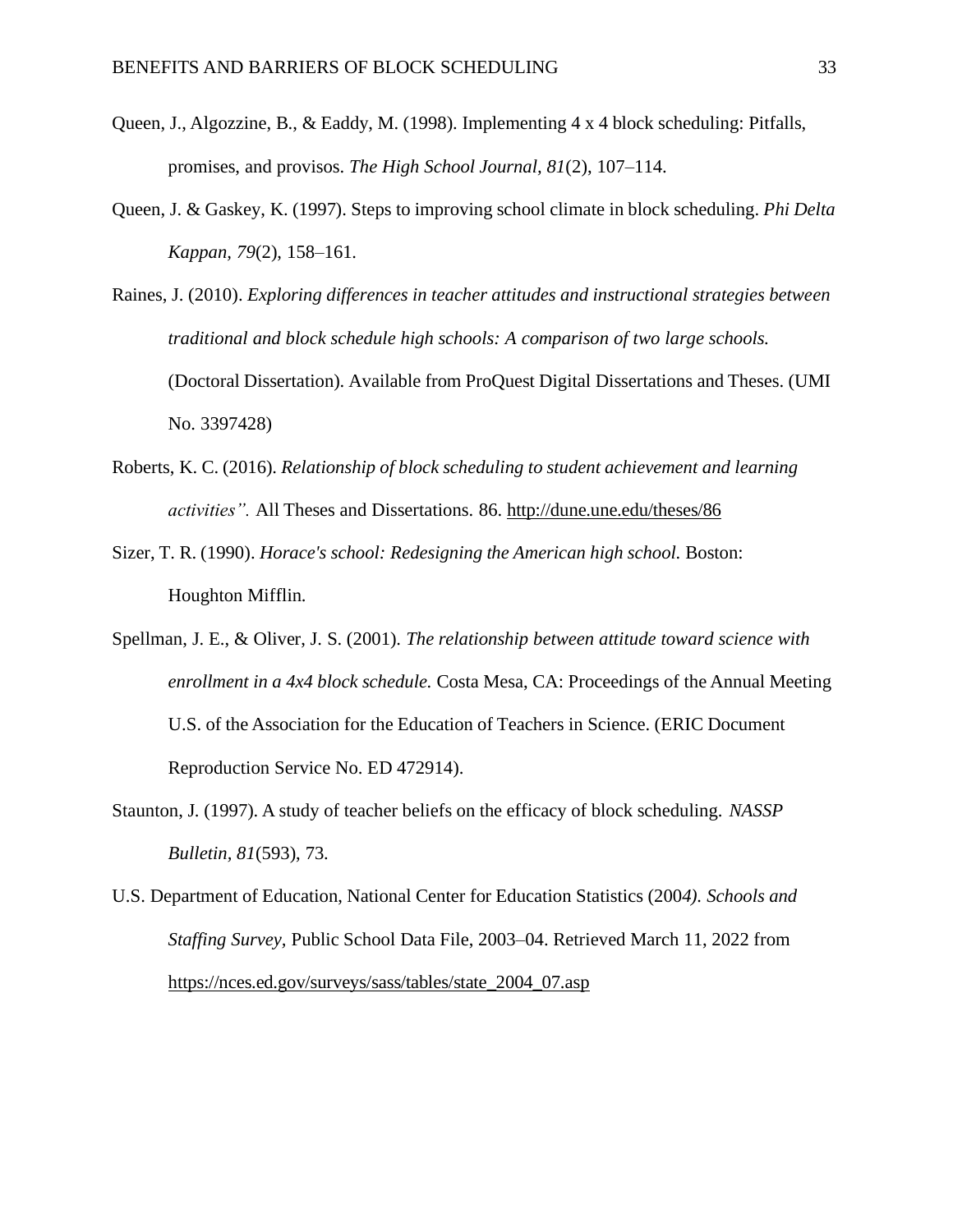- Queen, J., Algozzine, B., & Eaddy, M. (1998). Implementing 4 x 4 block scheduling: Pitfalls, promises, and provisos. *The High School Journal, 81*(2), 107–114.
- Queen, J. & Gaskey, K. (1997). Steps to improving school climate in block scheduling. *Phi Delta Kappan, 79*(2), 158–161.
- Raines, J. (2010). *Exploring differences in teacher attitudes and instructional strategies between traditional and block schedule high schools: A comparison of two large schools.*  (Doctoral Dissertation). Available from ProQuest Digital Dissertations and Theses. (UMI No. 3397428)
- Roberts, K. C. (2016). *Relationship of block scheduling to student achievement and learning activities".* All Theses and Dissertations. 86.<http://dune.une.edu/theses/86>
- Sizer, T. R. (1990). *Horace's school: Redesigning the American high school.* Boston: Houghton Mifflin.
- Spellman, J. E., & Oliver, J. S. (2001). *The relationship between attitude toward science with enrollment in a 4x4 block schedule.* Costa Mesa, CA: Proceedings of the Annual Meeting U.S. of the Association for the Education of Teachers in Science. (ERIC Document Reproduction Service No. ED 472914).
- Staunton, J. (1997). A study of teacher beliefs on the efficacy of block scheduling. *NASSP Bulletin, 81*(593), 73.
- U.S. Department of Education, National Center for Education Statistics (200*4). Schools and Staffing Survey,* Public School Data File, 2003–04. Retrieved March 11, 2022 from [https://nces.ed.gov/surveys/sass/tables/state\\_2004\\_07.asp](https://nces.ed.gov/surveys/sass/tables/state_2004_07.asp)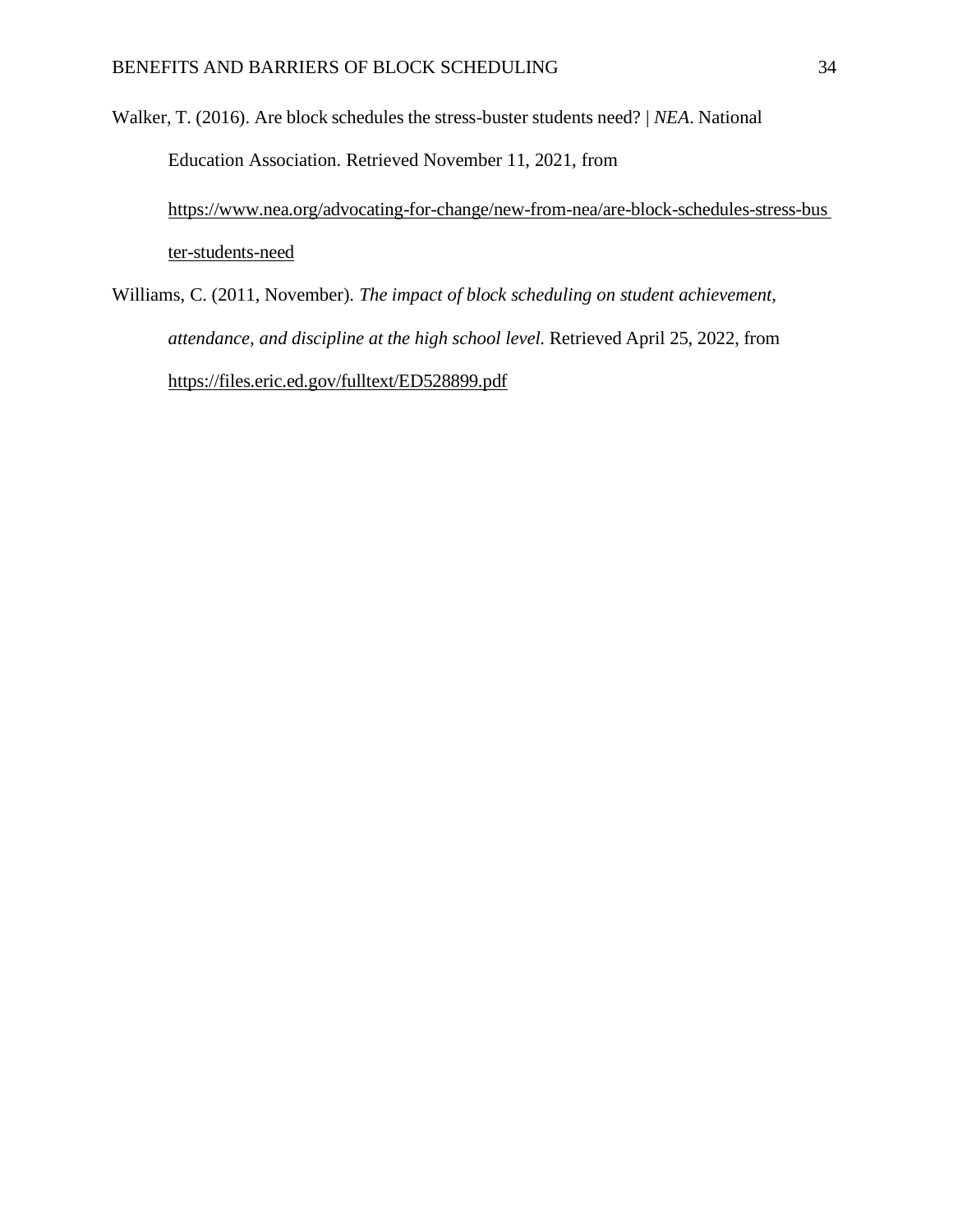Walker, T. (2016). Are block schedules the stress-buster students need? *| NEA*. National Education Association. Retrieved November 11, 2021, from [https://www.nea.org/advocating-for-change/new-from-nea/are-block-schedules-stress-bus](https://www.nea.org/advocating-for-change/new-from-nea/are-block-schedules-stress-buster-students-need) [ter-students-need](https://www.nea.org/advocating-for-change/new-from-nea/are-block-schedules-stress-buster-students-need)

Williams, C. (2011, November). *The impact of block scheduling on student achievement, attendance, and discipline at the high school level.* Retrieved April 25, 2022, from <https://files.eric.ed.gov/fulltext/ED528899.pdf>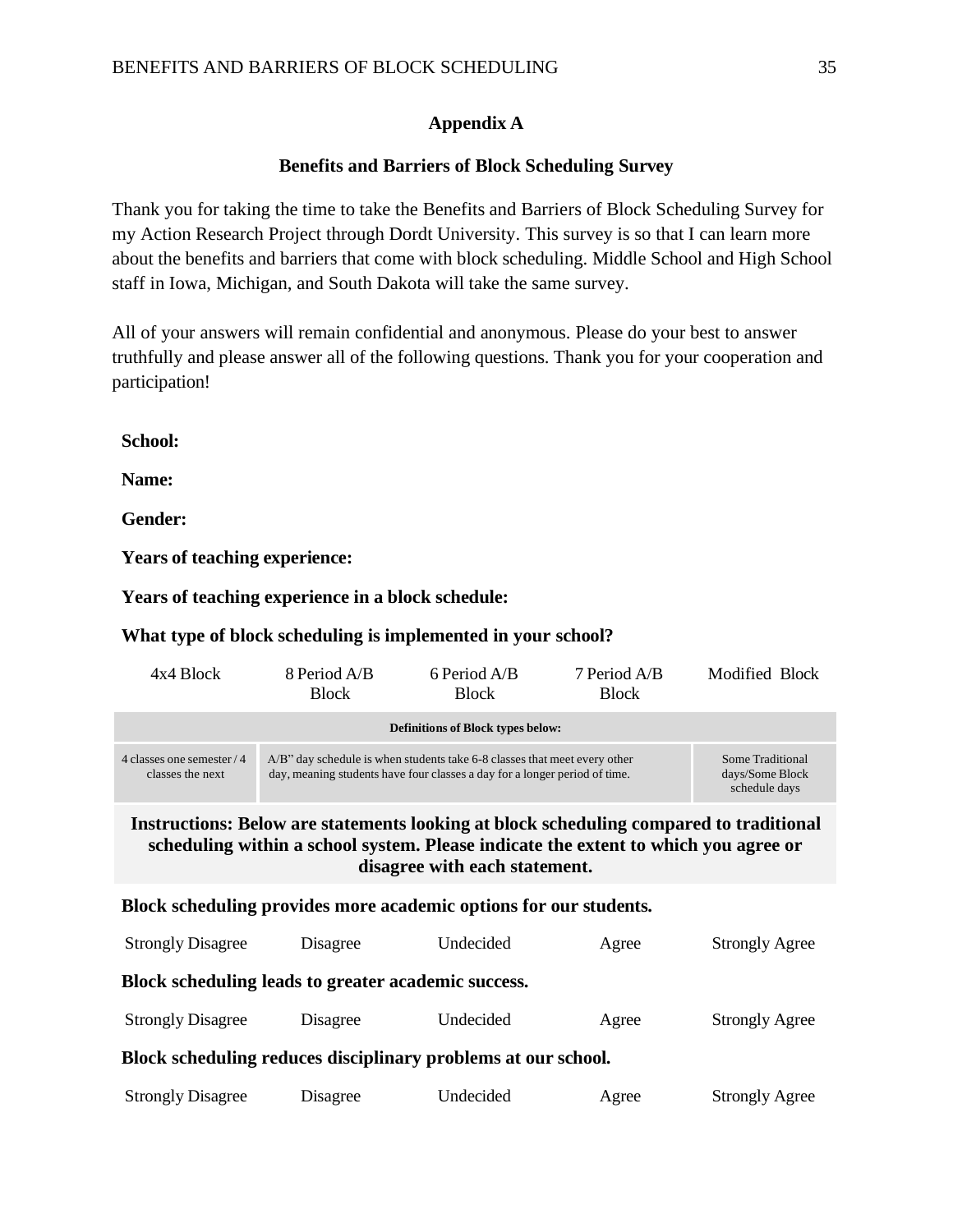# **Appendix A**

# **Benefits and Barriers of Block Scheduling Survey**

<span id="page-36-0"></span>Thank you for taking the time to take the Benefits and Barriers of Block Scheduling Survey for my Action Research Project through Dordt University. This survey is so that I can learn more about the benefits and barriers that come with block scheduling. Middle School and High School staff in Iowa, Michigan, and South Dakota will take the same survey.

All of your answers will remain confidential and anonymous. Please do your best to answer truthfully and please answer all of the following questions. Thank you for your cooperation and participation!

**School:**

**Name:**

**Gender:**

**Years of teaching experience:**

**Years of teaching experience in a block schedule:**

# **What type of block scheduling is implemented in your school?**

| 4x4 Block                                                                                                                                                                                                             | 8 Period A/B<br><b>Block</b>                                                                                                                            | 6 Period A/B<br><b>Block</b> | 7 Period A/B<br><b>Block</b> | Modified Block        |  |
|-----------------------------------------------------------------------------------------------------------------------------------------------------------------------------------------------------------------------|---------------------------------------------------------------------------------------------------------------------------------------------------------|------------------------------|------------------------------|-----------------------|--|
| <b>Definitions of Block types below:</b>                                                                                                                                                                              |                                                                                                                                                         |                              |                              |                       |  |
| 4 classes one semester / 4<br>classes the next                                                                                                                                                                        | A/B" day schedule is when students take 6-8 classes that meet every other<br>day, meaning students have four classes a day for a longer period of time. |                              |                              |                       |  |
| <b>Instructions: Below are statements looking at block scheduling compared to traditional</b><br>scheduling within a school system. Please indicate the extent to which you agree or<br>disagree with each statement. |                                                                                                                                                         |                              |                              |                       |  |
| Block scheduling provides more academic options for our students.                                                                                                                                                     |                                                                                                                                                         |                              |                              |                       |  |
| <b>Strongly Disagree</b>                                                                                                                                                                                              | <b>Disagree</b>                                                                                                                                         | Undecided                    | Agree                        | <b>Strongly Agree</b> |  |
| Block scheduling leads to greater academic success.                                                                                                                                                                   |                                                                                                                                                         |                              |                              |                       |  |
| <b>Strongly Disagree</b>                                                                                                                                                                                              | Disagree                                                                                                                                                | Undecided                    | Agree                        | <b>Strongly Agree</b> |  |
| Block scheduling reduces disciplinary problems at our school.                                                                                                                                                         |                                                                                                                                                         |                              |                              |                       |  |
| <b>Strongly Disagree</b>                                                                                                                                                                                              | Disagree                                                                                                                                                | Undecided                    | Agree                        | <b>Strongly Agree</b> |  |